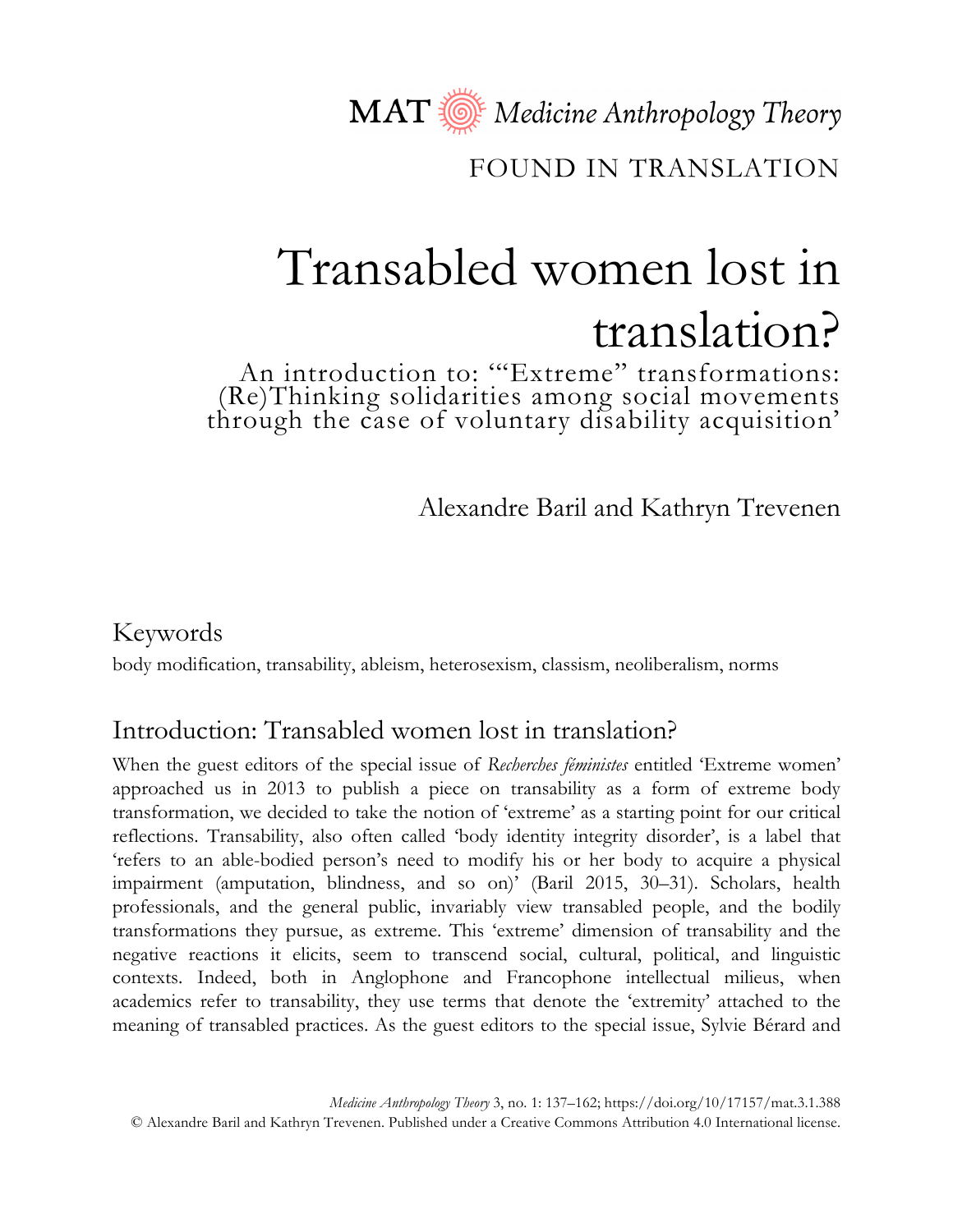MAT Nedicine Anthropology Theory

## FOUND IN TRANSLATION

# Transabled women lost in translation?

An introduction to: "Extreme" transformations: (Re)Thinking solidarities among social movements through the case of voluntary disability acquisition'

Alexandre Baril and Kathryn Trevenen

#### Keywords

body modification, transability, ableism, heterosexism, classism, neoliberalism, norms

## Introduction: Transabled women lost in translation?

When the guest editors of the special issue of *Recherches féministes* entitled 'Extreme women' approached us in 2013 to publish a piece on transability as a form of extreme body transformation, we decided to take the notion of 'extreme' as a starting point for our critical reflections. Transability, also often called 'body identity integrity disorder', is a label that 'refers to an able-bodied person's need to modify his or her body to acquire a physical impairment (amputation, blindness, and so on)' (Baril 2015, 30–31). Scholars, health professionals, and the general public, invariably view transabled people, and the bodily transformations they pursue, as extreme. This 'extreme' dimension of transability and the negative reactions it elicits, seem to transcend social, cultural, political, and linguistic contexts. Indeed, both in Anglophone and Francophone intellectual milieus, when academics refer to transability, they use terms that denote the 'extremity' attached to the meaning of transabled practices. As the guest editors to the special issue, Sylvie Bérard and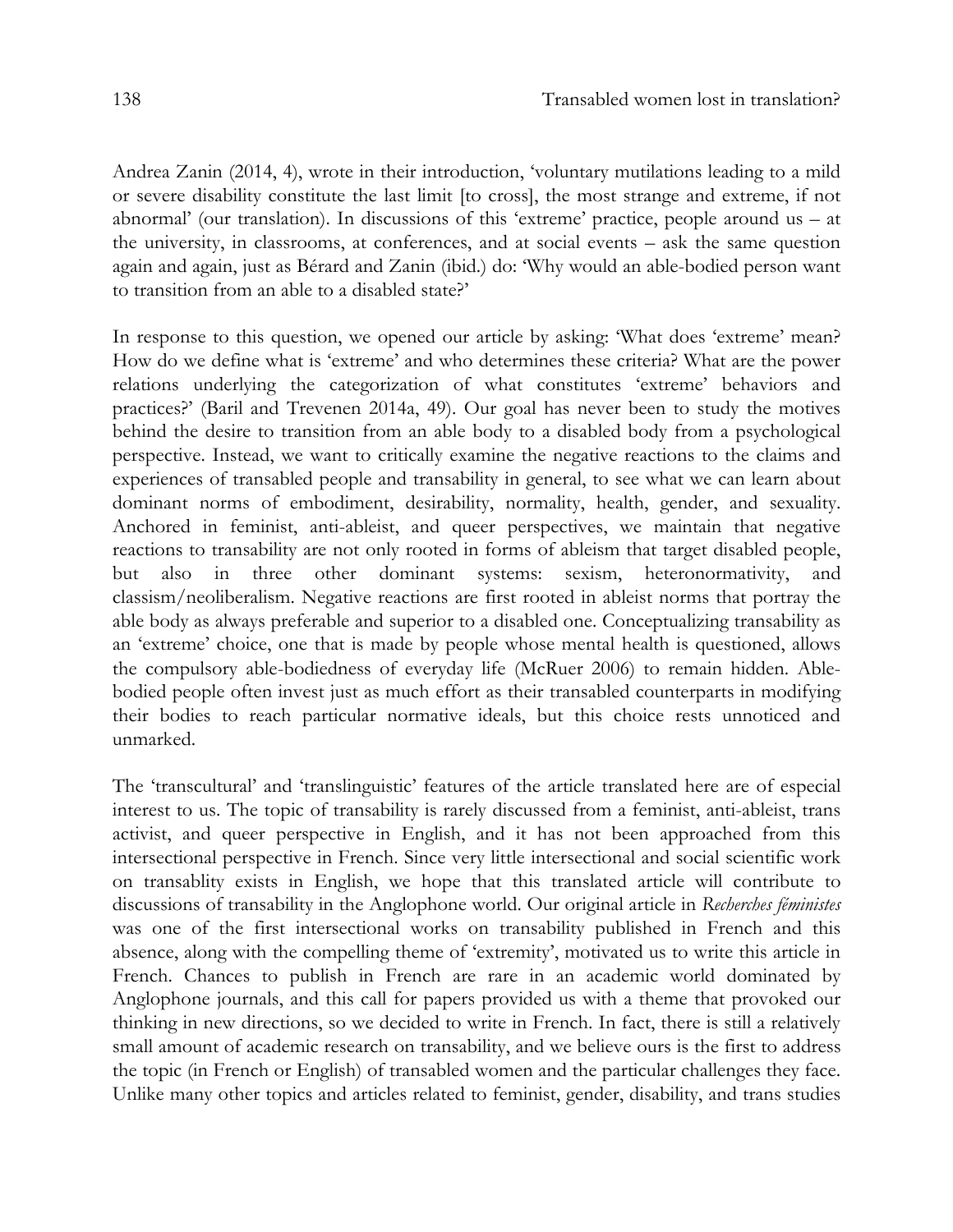Andrea Zanin (2014, 4), wrote in their introduction, 'voluntary mutilations leading to a mild or severe disability constitute the last limit [to cross], the most strange and extreme, if not abnormal' (our translation). In discussions of this 'extreme' practice, people around us – at the university, in classrooms, at conferences, and at social events – ask the same question again and again, just as Bérard and Zanin (ibid.) do: 'Why would an able-bodied person want to transition from an able to a disabled state?'

In response to this question, we opened our article by asking: 'What does 'extreme' mean? How do we define what is 'extreme' and who determines these criteria? What are the power relations underlying the categorization of what constitutes 'extreme' behaviors and practices?' (Baril and Trevenen 2014a, 49). Our goal has never been to study the motives behind the desire to transition from an able body to a disabled body from a psychological perspective. Instead, we want to critically examine the negative reactions to the claims and experiences of transabled people and transability in general, to see what we can learn about dominant norms of embodiment, desirability, normality, health, gender, and sexuality. Anchored in feminist, anti-ableist, and queer perspectives, we maintain that negative reactions to transability are not only rooted in forms of ableism that target disabled people, but also in three other dominant systems: sexism, heteronormativity, and classism/neoliberalism. Negative reactions are first rooted in ableist norms that portray the able body as always preferable and superior to a disabled one. Conceptualizing transability as an 'extreme' choice, one that is made by people whose mental health is questioned, allows the compulsory able-bodiedness of everyday life (McRuer 2006) to remain hidden. Ablebodied people often invest just as much effort as their transabled counterparts in modifying their bodies to reach particular normative ideals, but this choice rests unnoticed and unmarked.

The 'transcultural' and 'translinguistic' features of the article translated here are of especial interest to us. The topic of transability is rarely discussed from a feminist, anti-ableist, trans activist, and queer perspective in English, and it has not been approached from this intersectional perspective in French. Since very little intersectional and social scientific work on transablity exists in English, we hope that this translated article will contribute to discussions of transability in the Anglophone world. Our original article in *Recherches féministes* was one of the first intersectional works on transability published in French and this absence, along with the compelling theme of 'extremity', motivated us to write this article in French. Chances to publish in French are rare in an academic world dominated by Anglophone journals, and this call for papers provided us with a theme that provoked our thinking in new directions, so we decided to write in French. In fact, there is still a relatively small amount of academic research on transability, and we believe ours is the first to address the topic (in French or English) of transabled women and the particular challenges they face. Unlike many other topics and articles related to feminist, gender, disability, and trans studies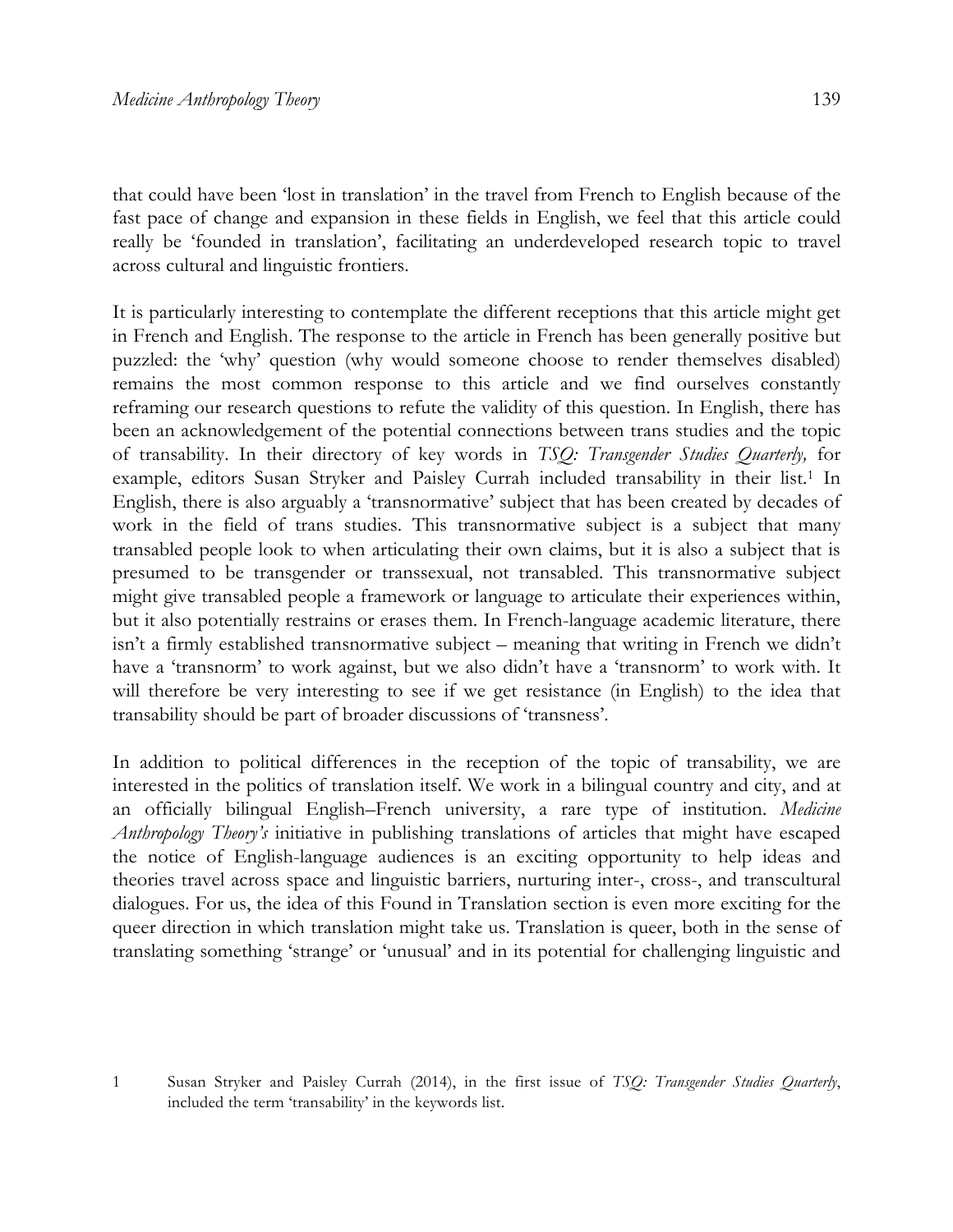that could have been 'lost in translation' in the travel from French to English because of the fast pace of change and expansion in these fields in English, we feel that this article could really be 'founded in translation', facilitating an underdeveloped research topic to travel across cultural and linguistic frontiers.

It is particularly interesting to contemplate the different receptions that this article might get in French and English. The response to the article in French has been generally positive but puzzled: the 'why' question (why would someone choose to render themselves disabled) remains the most common response to this article and we find ourselves constantly reframing our research questions to refute the validity of this question. In English, there has been an acknowledgement of the potential connections between trans studies and the topic of transability. In their directory of key words in *TSQ: Transgender Studies Quarterly,* for example, editors Susan Stryker and Paisley Currah included transability in their list.<sup>1</sup> In English, there is also arguably a 'transnormative' subject that has been created by decades of work in the field of trans studies. This transnormative subject is a subject that many transabled people look to when articulating their own claims, but it is also a subject that is presumed to be transgender or transsexual, not transabled. This transnormative subject might give transabled people a framework or language to articulate their experiences within, but it also potentially restrains or erases them. In French-language academic literature, there isn't a firmly established transnormative subject – meaning that writing in French we didn't have a 'transnorm' to work against, but we also didn't have a 'transnorm' to work with. It will therefore be very interesting to see if we get resistance (in English) to the idea that transability should be part of broader discussions of 'transness'.

In addition to political differences in the reception of the topic of transability, we are interested in the politics of translation itself. We work in a bilingual country and city, and at an officially bilingual English–French university, a rare type of institution. *Medicine Anthropology Theory's* initiative in publishing translations of articles that might have escaped the notice of English-language audiences is an exciting opportunity to help ideas and theories travel across space and linguistic barriers, nurturing inter-, cross-, and transcultural dialogues. For us, the idea of this Found in Translation section is even more exciting for the queer direction in which translation might take us. Translation is queer, both in the sense of translating something 'strange' or 'unusual' and in its potential for challenging linguistic and

<sup>1</sup> Susan Stryker and Paisley Currah (2014), in the first issue of *TSQ: Transgender Studies Quarterly*, included the term 'transability' in the keywords list.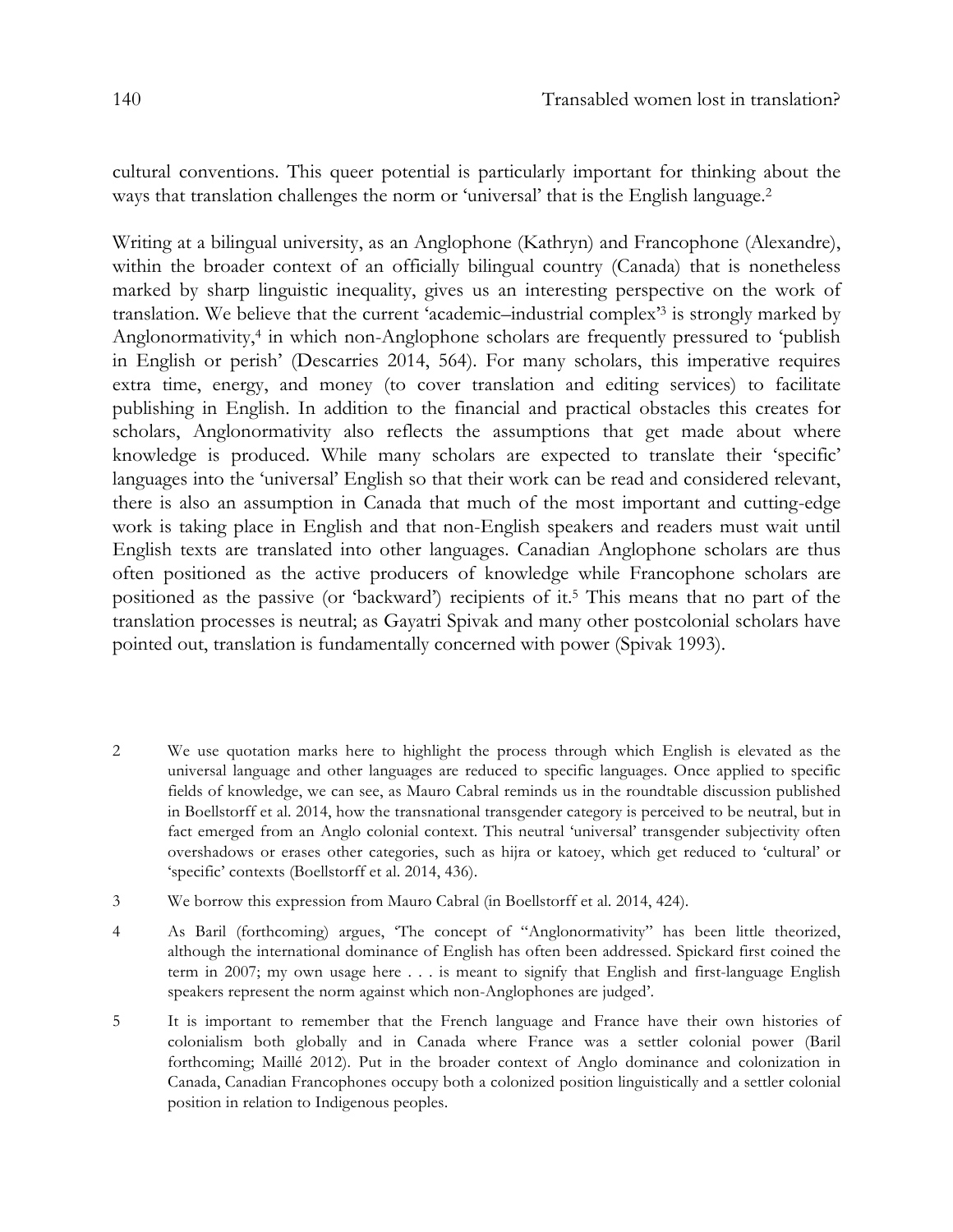cultural conventions. This queer potential is particularly important for thinking about the ways that translation challenges the norm or 'universal' that is the English language.<sup>2</sup>

Writing at a bilingual university, as an Anglophone (Kathryn) and Francophone (Alexandre), within the broader context of an officially bilingual country (Canada) that is nonetheless marked by sharp linguistic inequality, gives us an interesting perspective on the work of translation. We believe that the current 'academic–industrial complex' <sup>3</sup> is strongly marked by Anglonormativity,4 in which non-Anglophone scholars are frequently pressured to 'publish in English or perish' (Descarries 2014, 564). For many scholars, this imperative requires extra time, energy, and money (to cover translation and editing services) to facilitate publishing in English. In addition to the financial and practical obstacles this creates for scholars, Anglonormativity also reflects the assumptions that get made about where knowledge is produced. While many scholars are expected to translate their 'specific' languages into the 'universal' English so that their work can be read and considered relevant, there is also an assumption in Canada that much of the most important and cutting-edge work is taking place in English and that non-English speakers and readers must wait until English texts are translated into other languages. Canadian Anglophone scholars are thus often positioned as the active producers of knowledge while Francophone scholars are positioned as the passive (or 'backward') recipients of it.5 This means that no part of the translation processes is neutral; as Gayatri Spivak and many other postcolonial scholars have pointed out, translation is fundamentally concerned with power (Spivak 1993).

- 2 We use quotation marks here to highlight the process through which English is elevated as the universal language and other languages are reduced to specific languages. Once applied to specific fields of knowledge, we can see, as Mauro Cabral reminds us in the roundtable discussion published in Boellstorff et al. 2014, how the transnational transgender category is perceived to be neutral, but in fact emerged from an Anglo colonial context. This neutral 'universal' transgender subjectivity often overshadows or erases other categories, such as hijra or katoey, which get reduced to 'cultural' or 'specific' contexts (Boellstorff et al. 2014, 436).
- 3 We borrow this expression from Mauro Cabral (in Boellstorff et al. 2014, 424).
- 4 As Baril (forthcoming) argues, 'The concept of "Anglonormativity" has been little theorized, although the international dominance of English has often been addressed. Spickard first coined the term in 2007; my own usage here . . . is meant to signify that English and first-language English speakers represent the norm against which non-Anglophones are judged'.
- 5 It is important to remember that the French language and France have their own histories of colonialism both globally and in Canada where France was a settler colonial power (Baril forthcoming; Maillé 2012). Put in the broader context of Anglo dominance and colonization in Canada, Canadian Francophones occupy both a colonized position linguistically and a settler colonial position in relation to Indigenous peoples.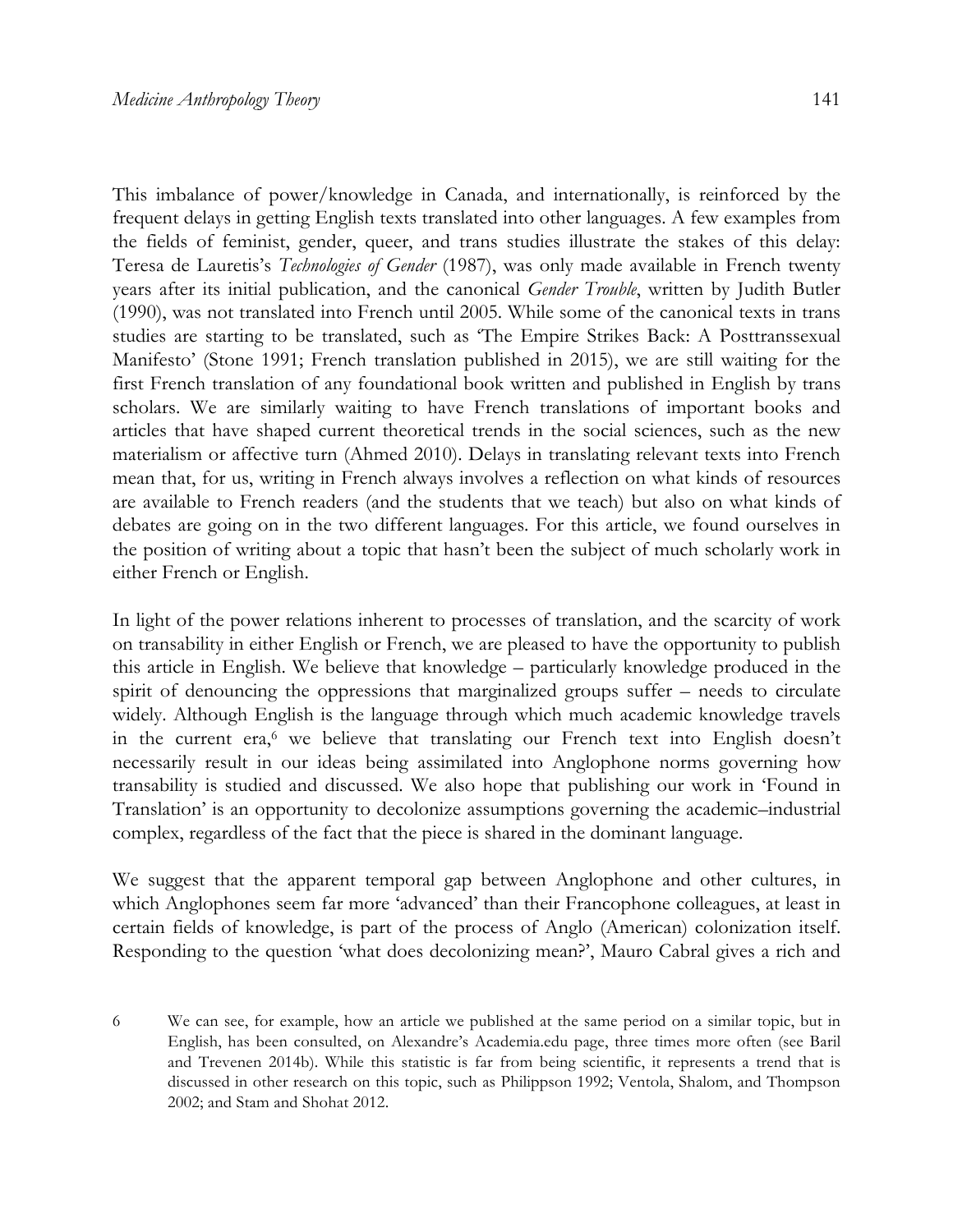This imbalance of power/knowledge in Canada, and internationally, is reinforced by the frequent delays in getting English texts translated into other languages. A few examples from the fields of feminist, gender, queer, and trans studies illustrate the stakes of this delay: Teresa de Lauretis's *Technologies of Gender* (1987), was only made available in French twenty years after its initial publication, and the canonical *Gender Trouble*, written by Judith Butler (1990), was not translated into French until 2005. While some of the canonical texts in trans studies are starting to be translated, such as 'The Empire Strikes Back: A Posttranssexual Manifesto' (Stone 1991; French translation published in 2015), we are still waiting for the first French translation of any foundational book written and published in English by trans scholars. We are similarly waiting to have French translations of important books and articles that have shaped current theoretical trends in the social sciences, such as the new materialism or affective turn (Ahmed 2010). Delays in translating relevant texts into French mean that, for us, writing in French always involves a reflection on what kinds of resources are available to French readers (and the students that we teach) but also on what kinds of debates are going on in the two different languages. For this article, we found ourselves in the position of writing about a topic that hasn't been the subject of much scholarly work in either French or English.

In light of the power relations inherent to processes of translation, and the scarcity of work on transability in either English or French, we are pleased to have the opportunity to publish this article in English. We believe that knowledge – particularly knowledge produced in the spirit of denouncing the oppressions that marginalized groups suffer – needs to circulate widely. Although English is the language through which much academic knowledge travels in the current era,<sup>6</sup> we believe that translating our French text into English doesn't necessarily result in our ideas being assimilated into Anglophone norms governing how transability is studied and discussed. We also hope that publishing our work in 'Found in Translation' is an opportunity to decolonize assumptions governing the academic–industrial complex, regardless of the fact that the piece is shared in the dominant language.

We suggest that the apparent temporal gap between Anglophone and other cultures, in which Anglophones seem far more 'advanced' than their Francophone colleagues, at least in certain fields of knowledge, is part of the process of Anglo (American) colonization itself. Responding to the question 'what does decolonizing mean?', Mauro Cabral gives a rich and

<sup>6</sup> We can see, for example, how an article we published at the same period on a similar topic, but in English, has been consulted, on Alexandre's Academia.edu page, three times more often (see Baril and Trevenen 2014b). While this statistic is far from being scientific, it represents a trend that is discussed in other research on this topic, such as Philippson 1992; Ventola, Shalom, and Thompson 2002; and Stam and Shohat 2012.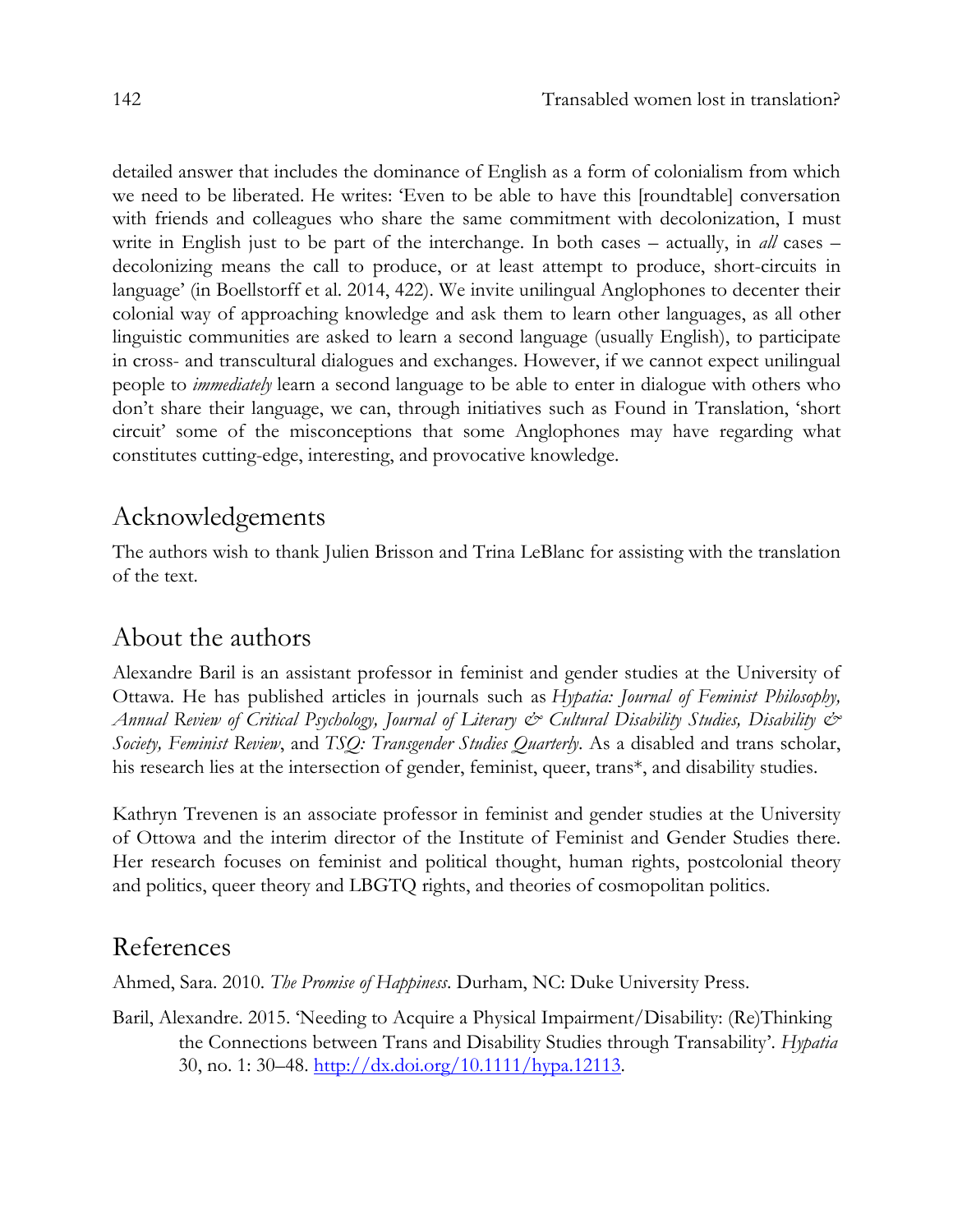detailed answer that includes the dominance of English as a form of colonialism from which we need to be liberated. He writes: 'Even to be able to have this [roundtable] conversation with friends and colleagues who share the same commitment with decolonization, I must write in English just to be part of the interchange. In both cases – actually, in *all* cases – decolonizing means the call to produce, or at least attempt to produce, short-circuits in language' (in Boellstorff et al. 2014, 422). We invite unilingual Anglophones to decenter their colonial way of approaching knowledge and ask them to learn other languages, as all other linguistic communities are asked to learn a second language (usually English), to participate in cross- and transcultural dialogues and exchanges. However, if we cannot expect unilingual people to *immediately* learn a second language to be able to enter in dialogue with others who don't share their language, we can, through initiatives such as Found in Translation, 'short circuit' some of the misconceptions that some Anglophones may have regarding what constitutes cutting-edge, interesting, and provocative knowledge.

## Acknowledgements

The authors wish to thank Julien Brisson and Trina LeBlanc for assisting with the translation of the text.

## About the authors

Alexandre Baril is an assistant professor in feminist and gender studies at the University of Ottawa. He has published articles in journals such as *Hypatia: Journal of Feminist Philosophy, Annual Review of Critical Psychology, Journal of Literary & Cultural Disability Studies, Disability & Society, Feminist Review*, and *TSQ: Transgender Studies Quarterly*. As a disabled and trans scholar, his research lies at the intersection of gender, feminist, queer, trans\*, and disability studies.

Kathryn Trevenen is an associate professor in feminist and gender studies at the University of Ottowa and the interim director of the Institute of Feminist and Gender Studies there. Her research focuses on feminist and political thought, human rights, postcolonial theory and politics, queer theory and LBGTQ rights, and theories of cosmopolitan politics.

## References

Ahmed, Sara. 2010. *The Promise of Happiness*. Durham, NC: Duke University Press.

Baril, Alexandre. 2015. 'Needing to Acquire a Physical Impairment/Disability: (Re)Thinking the Connections between Trans and Disability Studies through Transability'. *Hypatia*  30, no. 1: 30–48. http://dx.doi.org/10.1111/hypa.12113.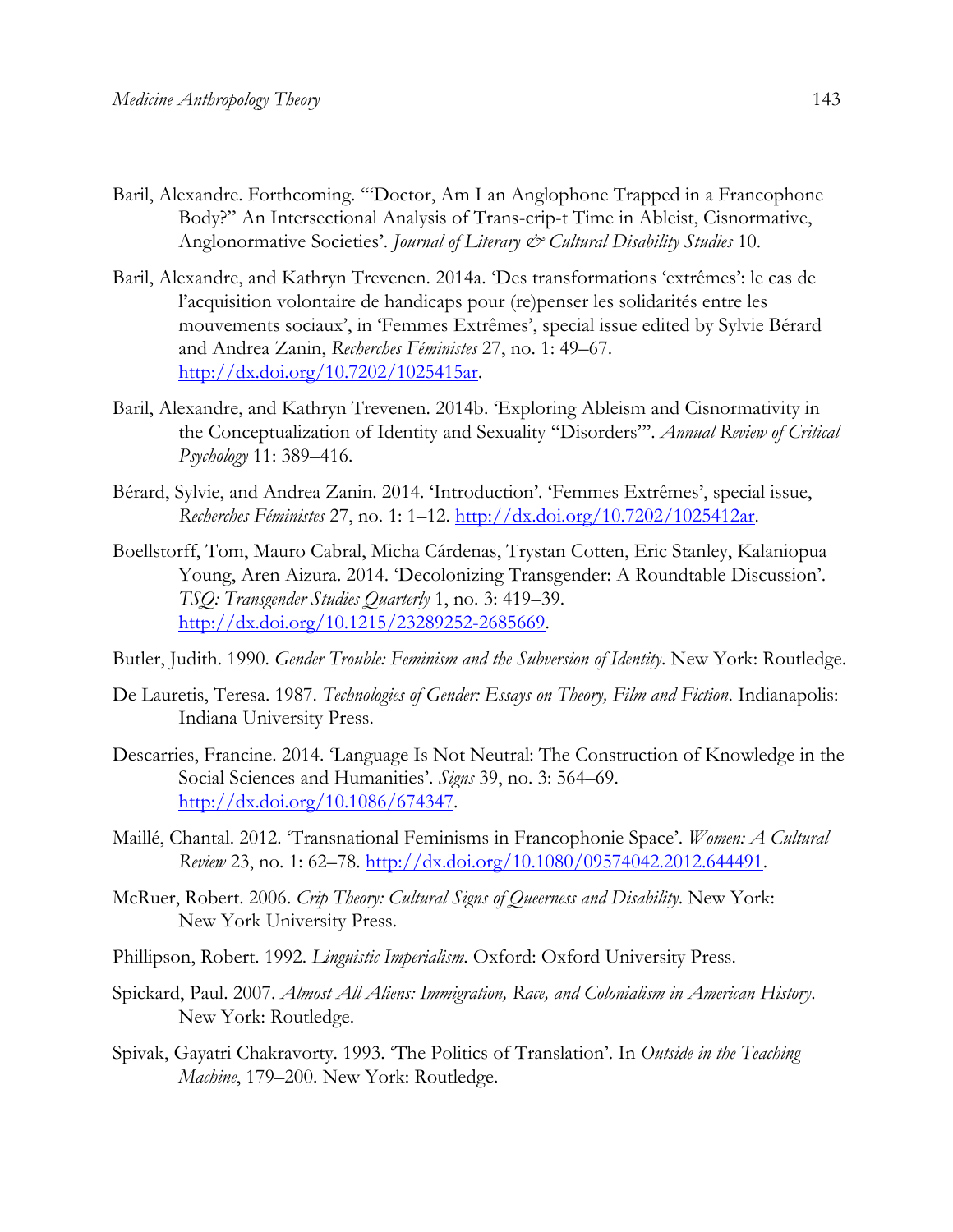- Baril, Alexandre. Forthcoming. '"Doctor, Am I an Anglophone Trapped in a Francophone Body?" An Intersectional Analysis of Trans-crip-t Time in Ableist, Cisnormative, Anglonormative Societies'. *Journal of Literary & Cultural Disability Studies* 10.
- Baril, Alexandre, and Kathryn Trevenen. 2014a. 'Des transformations 'extrêmes': le cas de l'acquisition volontaire de handicaps pour (re)penser les solidarités entre les mouvements sociaux', in 'Femmes Extrêmes', special issue edited by Sylvie Bérard and Andrea Zanin, *Recherches Féministes* 27, no. 1: 49–67. http://dx.doi.org/10.7202/1025415ar.
- Baril, Alexandre, and Kathryn Trevenen. 2014b. 'Exploring Ableism and Cisnormativity in the Conceptualization of Identity and Sexuality "Disorders"'. *Annual Review of Critical Psychology* 11: 389–416.
- Bérard, Sylvie, and Andrea Zanin. 2014. 'Introduction'. 'Femmes Extrêmes', special issue, *Recherches Féministes* 27, no. 1: 1–12. http://dx.doi.org/10.7202/1025412ar.
- Boellstorff, Tom, Mauro Cabral, Micha Cárdenas, Trystan Cotten, Eric Stanley, Kalaniopua Young, Aren Aizura. 2014. 'Decolonizing Transgender: A Roundtable Discussion'. *TSQ: Transgender Studies Quarterly* 1, no. 3: 419–39. http://dx.doi.org/10.1215/23289252-2685669.

Butler, Judith. 1990. *Gender Trouble: Feminism and the Subversion of Identity*. New York: Routledge.

- De Lauretis, Teresa. 1987. *Technologies of Gender: Essays on Theory, Film and Fiction*. Indianapolis: Indiana University Press.
- Descarries, Francine. 2014. 'Language Is Not Neutral: The Construction of Knowledge in the Social Sciences and Humanities'. *Signs* 39, no. 3: 564–69. http://dx.doi.org/10.1086/674347.
- Maillé, Chantal. 2012. 'Transnational Feminisms in Francophonie Space'. *Women: A Cultural Review* 23, no. 1: 62–78. http://dx.doi.org/10.1080/09574042.2012.644491.
- McRuer, Robert. 2006. *Crip Theory: Cultural Signs of Queerness and Disability*. New York: New York University Press.
- Phillipson, Robert. 1992. *Linguistic Imperialism*. Oxford: Oxford University Press.
- Spickard, Paul. 2007. *Almost All Aliens: Immigration, Race, and Colonialism in American History*. New York: Routledge.
- Spivak, Gayatri Chakravorty. 1993. 'The Politics of Translation'. In *Outside in the Teaching Machine*, 179–200. New York: Routledge.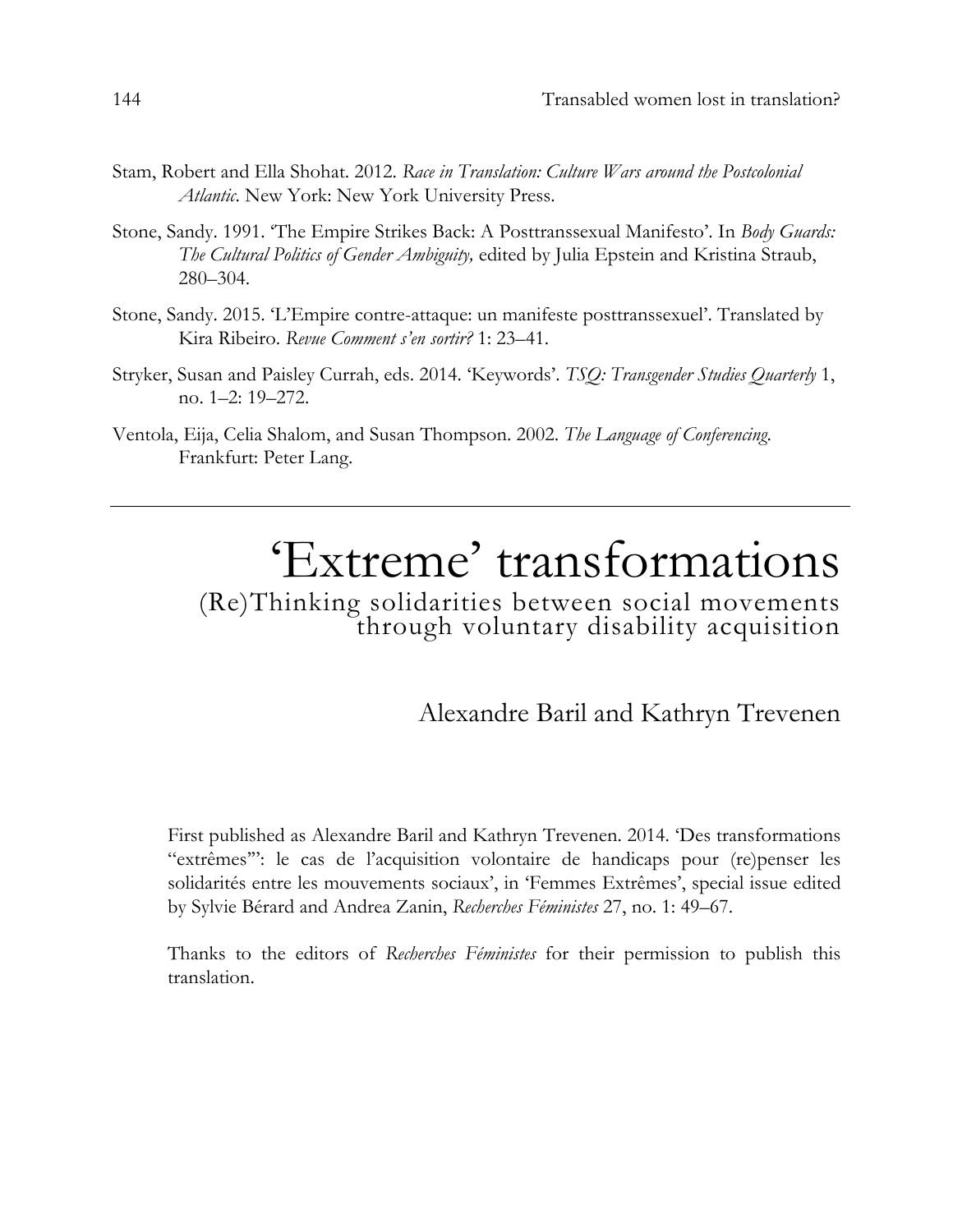- Stam, Robert and Ella Shohat. 2012. *Race in Translation: Culture Wars around the Postcolonial Atlantic*. New York: New York University Press.
- Stone, Sandy. 1991. 'The Empire Strikes Back: A Posttranssexual Manifesto'. In *Body Guards: The Cultural Politics of Gender Ambiguity,* edited by Julia Epstein and Kristina Straub, 280–304.
- Stone, Sandy. 2015. 'L'Empire contre-attaque: un manifeste posttranssexuel'. Translated by Kira Ribeiro. *Revue Comment s'en sortir?* 1: 23–41.
- Stryker, Susan and Paisley Currah, eds. 2014. 'Keywords'. *TSQ: Transgender Studies Quarterly* 1, no. 1–2: 19–272.
- Ventola, Eija, Celia Shalom, and Susan Thompson. 2002. *The Language of Conferencing*. Frankfurt: Peter Lang.

## 'Extreme' transformations

(Re)Thinking solidarities between social movements through voluntary disability acquisition

Alexandre Baril and Kathryn Trevenen

First published as Alexandre Baril and Kathryn Trevenen. 2014. 'Des transformations "extrêmes'": le cas de l'acquisition volontaire de handicaps pour (re)penser les solidarités entre les mouvements sociaux', in 'Femmes Extrêmes', special issue edited by Sylvie Bérard and Andrea Zanin, *Recherches Féministes* 27, no. 1: 49–67.

Thanks to the editors of *Recherches Féministes* for their permission to publish this translation.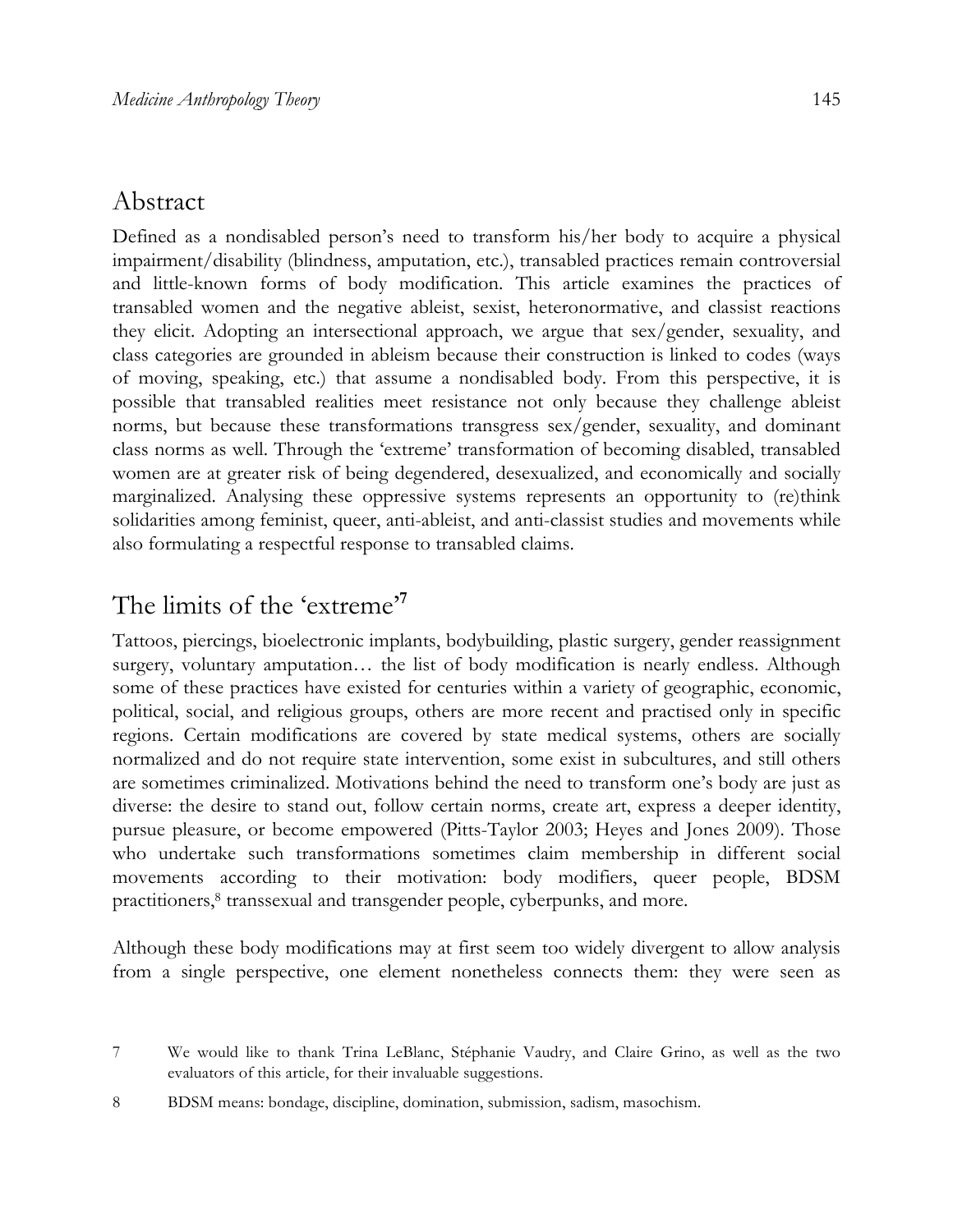#### Abstract

Defined as a nondisabled person's need to transform his/her body to acquire a physical impairment/disability (blindness, amputation, etc.), transabled practices remain controversial and little-known forms of body modification. This article examines the practices of transabled women and the negative ableist, sexist, heteronormative, and classist reactions they elicit. Adopting an intersectional approach, we argue that sex/gender, sexuality, and class categories are grounded in ableism because their construction is linked to codes (ways of moving, speaking, etc.) that assume a nondisabled body. From this perspective, it is possible that transabled realities meet resistance not only because they challenge ableist norms, but because these transformations transgress sex/gender, sexuality, and dominant class norms as well. Through the 'extreme' transformation of becoming disabled, transabled women are at greater risk of being degendered, desexualized, and economically and socially marginalized. Analysing these oppressive systems represents an opportunity to (re)think solidarities among feminist, queer, anti-ableist, and anti-classist studies and movements while also formulating a respectful response to transabled claims.

## The limits of the 'extreme' **7**

Tattoos, piercings, bioelectronic implants, bodybuilding, plastic surgery, gender reassignment surgery, voluntary amputation… the list of body modification is nearly endless. Although some of these practices have existed for centuries within a variety of geographic, economic, political, social, and religious groups, others are more recent and practised only in specific regions. Certain modifications are covered by state medical systems, others are socially normalized and do not require state intervention, some exist in subcultures, and still others are sometimes criminalized. Motivations behind the need to transform one's body are just as diverse: the desire to stand out, follow certain norms, create art, express a deeper identity, pursue pleasure, or become empowered (Pitts-Taylor 2003; Heyes and Jones 2009). Those who undertake such transformations sometimes claim membership in different social movements according to their motivation: body modifiers, queer people, BDSM practitioners,<sup>8</sup> transsexual and transgender people, cyberpunks, and more.

Although these body modifications may at first seem too widely divergent to allow analysis from a single perspective, one element nonetheless connects them: they were seen as

<sup>7</sup> We would like to thank Trina LeBlanc, Stéphanie Vaudry, and Claire Grino, as well as the two evaluators of this article, for their invaluable suggestions.

<sup>8</sup> BDSM means: bondage, discipline, domination, submission, sadism, masochism.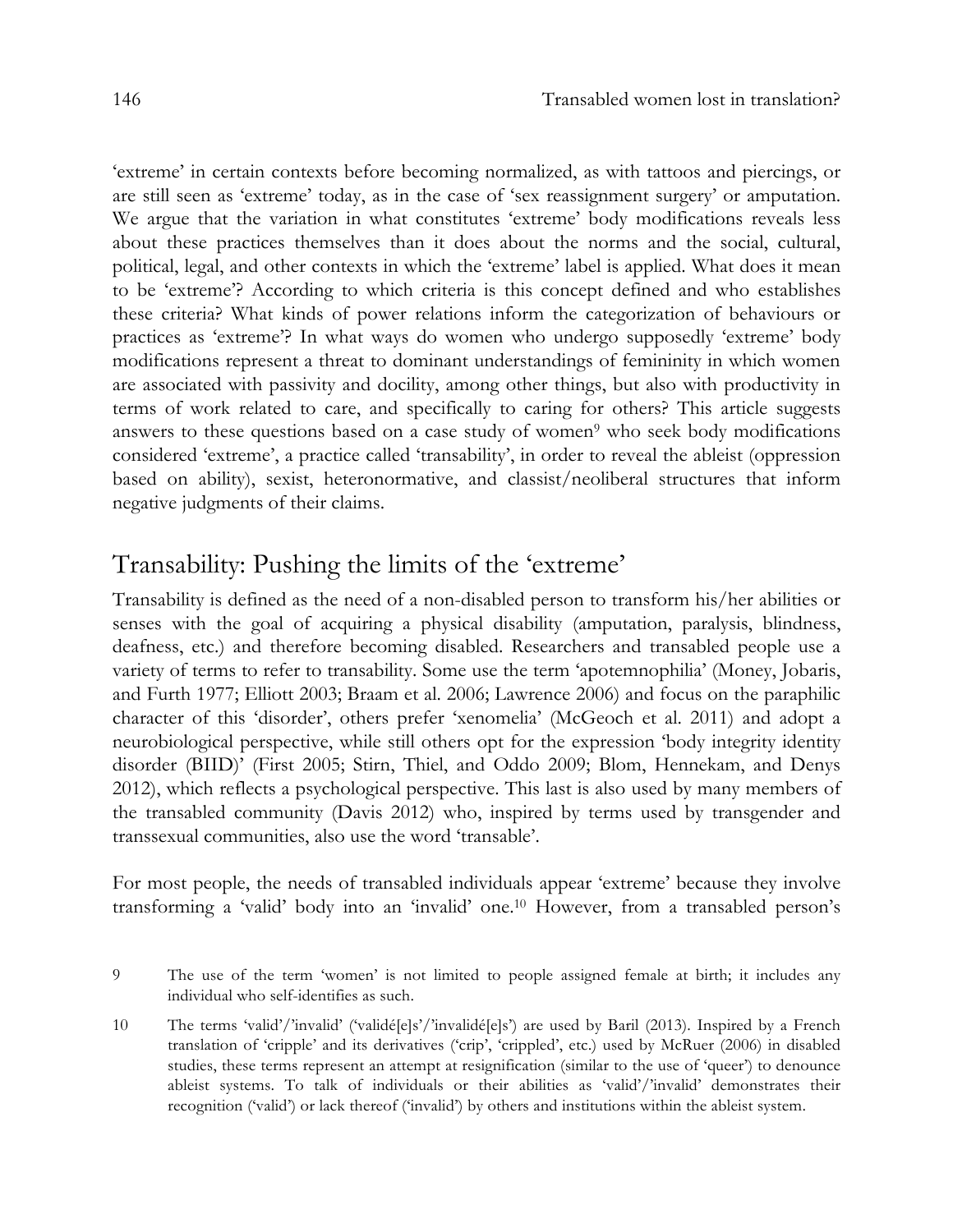'extreme' in certain contexts before becoming normalized, as with tattoos and piercings, or are still seen as 'extreme' today, as in the case of 'sex reassignment surgery' or amputation. We argue that the variation in what constitutes 'extreme' body modifications reveals less about these practices themselves than it does about the norms and the social, cultural, political, legal, and other contexts in which the 'extreme' label is applied. What does it mean to be 'extreme'? According to which criteria is this concept defined and who establishes these criteria? What kinds of power relations inform the categorization of behaviours or practices as 'extreme'? In what ways do women who undergo supposedly 'extreme' body modifications represent a threat to dominant understandings of femininity in which women are associated with passivity and docility, among other things, but also with productivity in terms of work related to care, and specifically to caring for others? This article suggests answers to these questions based on a case study of women<sup>9</sup> who seek body modifications considered 'extreme', a practice called 'transability', in order to reveal the ableist (oppression based on ability), sexist, heteronormative, and classist/neoliberal structures that inform negative judgments of their claims.

#### Transability: Pushing the limits of the 'extreme'

Transability is defined as the need of a non-disabled person to transform his/her abilities or senses with the goal of acquiring a physical disability (amputation, paralysis, blindness, deafness, etc.) and therefore becoming disabled. Researchers and transabled people use a variety of terms to refer to transability. Some use the term 'apotemnophilia' (Money, Jobaris, and Furth 1977; Elliott 2003; Braam et al. 2006; Lawrence 2006) and focus on the paraphilic character of this 'disorder', others prefer 'xenomelia' (McGeoch et al. 2011) and adopt a neurobiological perspective, while still others opt for the expression 'body integrity identity disorder (BIID)' (First 2005; Stirn, Thiel, and Oddo 2009; Blom, Hennekam, and Denys 2012), which reflects a psychological perspective. This last is also used by many members of the transabled community (Davis 2012) who, inspired by terms used by transgender and transsexual communities, also use the word 'transable'.

For most people, the needs of transabled individuals appear 'extreme' because they involve transforming a 'valid' body into an 'invalid' one.10 However, from a transabled person's

<sup>9</sup> The use of the term 'women' is not limited to people assigned female at birth; it includes any individual who self-identifies as such.

<sup>10</sup> The terms 'valid'/'invalid' ('validé[e]s'/'invalidé[e]s') are used by Baril (2013). Inspired by a French translation of 'cripple' and its derivatives ('crip', 'crippled', etc.) used by McRuer (2006) in disabled studies, these terms represent an attempt at resignification (similar to the use of 'queer') to denounce ableist systems. To talk of individuals or their abilities as 'valid'/'invalid' demonstrates their recognition ('valid') or lack thereof ('invalid') by others and institutions within the ableist system.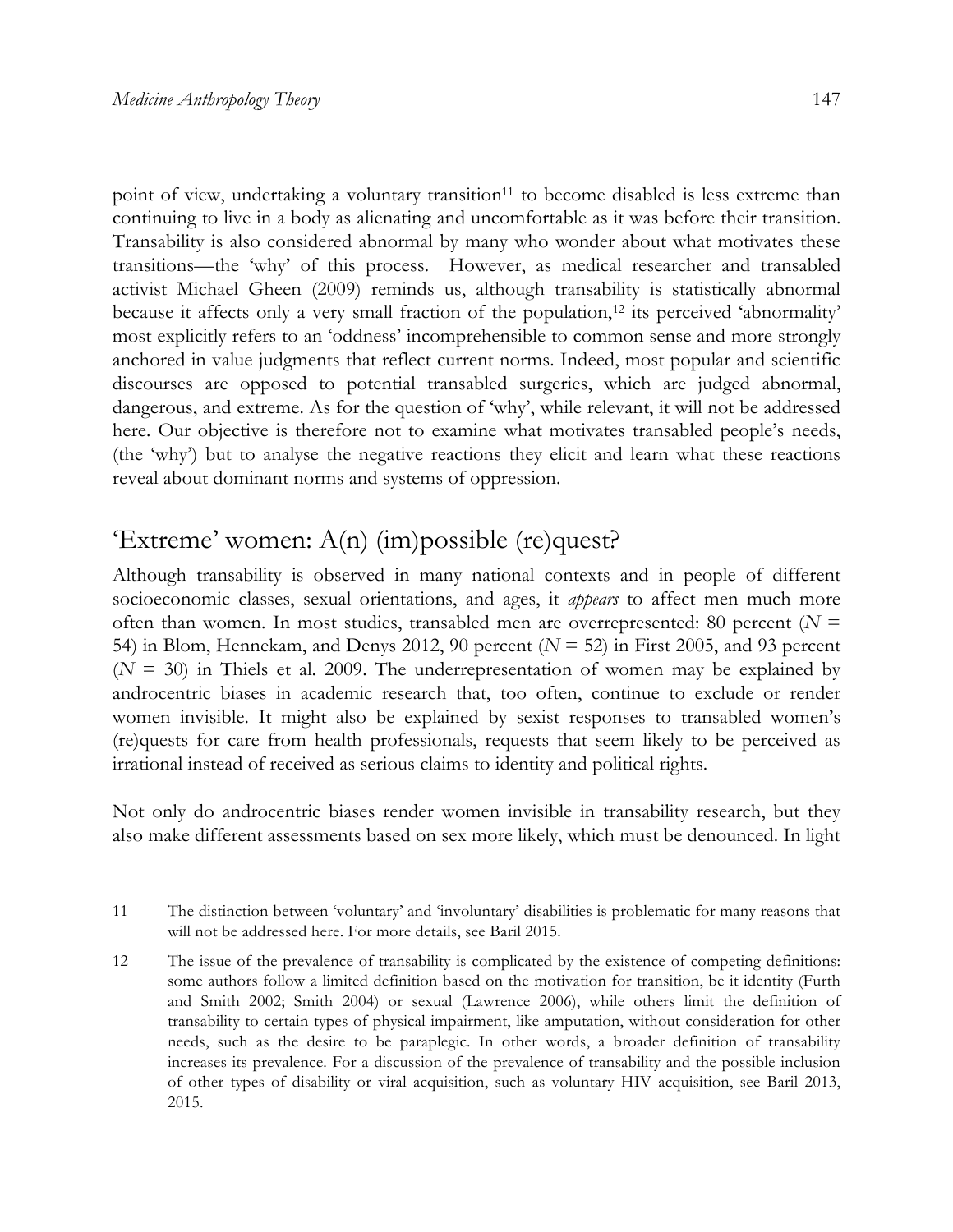point of view, undertaking a voluntary transition<sup>11</sup> to become disabled is less extreme than continuing to live in a body as alienating and uncomfortable as it was before their transition. Transability is also considered abnormal by many who wonder about what motivates these transitions—the 'why' of this process. However, as medical researcher and transabled activist Michael Gheen (2009) reminds us, although transability is statistically abnormal because it affects only a very small fraction of the population,<sup>12</sup> its perceived 'abnormality' most explicitly refers to an 'oddness' incomprehensible to common sense and more strongly anchored in value judgments that reflect current norms. Indeed, most popular and scientific discourses are opposed to potential transabled surgeries, which are judged abnormal, dangerous, and extreme. As for the question of 'why', while relevant, it will not be addressed here. Our objective is therefore not to examine what motivates transabled people's needs, (the 'why') but to analyse the negative reactions they elicit and learn what these reactions reveal about dominant norms and systems of oppression.

## 'Extreme' women: A(n) (im)possible (re)quest?

Although transability is observed in many national contexts and in people of different socioeconomic classes, sexual orientations, and ages, it *appears* to affect men much more often than women. In most studies, transabled men are overrepresented: 80 percent (*N* = 54) in Blom, Hennekam, and Denys 2012, 90 percent (*N* = 52) in First 2005, and 93 percent  $(N = 30)$  in Thiels et al. 2009. The underrepresentation of women may be explained by androcentric biases in academic research that, too often, continue to exclude or render women invisible. It might also be explained by sexist responses to transabled women's (re)quests for care from health professionals, requests that seem likely to be perceived as irrational instead of received as serious claims to identity and political rights.

Not only do androcentric biases render women invisible in transability research, but they also make different assessments based on sex more likely, which must be denounced. In light

- 11 The distinction between 'voluntary' and 'involuntary' disabilities is problematic for many reasons that will not be addressed here. For more details, see Baril 2015.
- 12 The issue of the prevalence of transability is complicated by the existence of competing definitions: some authors follow a limited definition based on the motivation for transition, be it identity (Furth and Smith 2002; Smith 2004) or sexual (Lawrence 2006), while others limit the definition of transability to certain types of physical impairment, like amputation, without consideration for other needs, such as the desire to be paraplegic. In other words, a broader definition of transability increases its prevalence. For a discussion of the prevalence of transability and the possible inclusion of other types of disability or viral acquisition, such as voluntary HIV acquisition, see Baril 2013, 2015.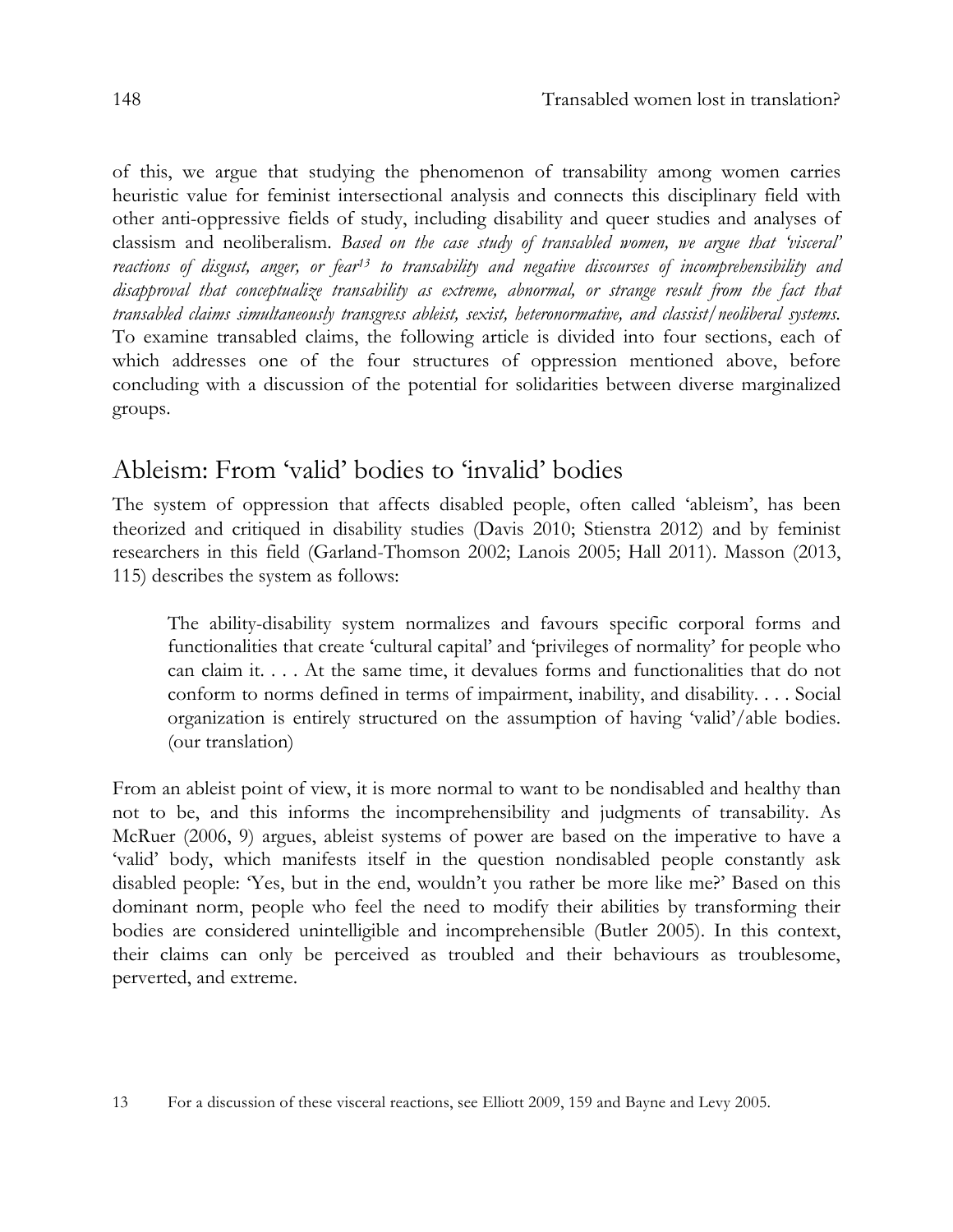of this, we argue that studying the phenomenon of transability among women carries heuristic value for feminist intersectional analysis and connects this disciplinary field with other anti-oppressive fields of study, including disability and queer studies and analyses of classism and neoliberalism. *Based on the case study of transabled women, we argue that 'visceral' reactions of disgust, anger, or fear13 to transability and negative discourses of incomprehensibility and disapproval that conceptualize transability as extreme, abnormal, or strange result from the fact that transabled claims simultaneously transgress ableist, sexist, heteronormative, and classist/neoliberal systems.*  To examine transabled claims, the following article is divided into four sections, each of which addresses one of the four structures of oppression mentioned above, before concluding with a discussion of the potential for solidarities between diverse marginalized groups.

#### Ableism: From 'valid' bodies to 'invalid' bodies

The system of oppression that affects disabled people, often called 'ableism', has been theorized and critiqued in disability studies (Davis 2010; Stienstra 2012) and by feminist researchers in this field (Garland-Thomson 2002; Lanois 2005; Hall 2011). Masson (2013, 115) describes the system as follows:

The ability-disability system normalizes and favours specific corporal forms and functionalities that create 'cultural capital' and 'privileges of normality' for people who can claim it. . . . At the same time, it devalues forms and functionalities that do not conform to norms defined in terms of impairment, inability, and disability. . . . Social organization is entirely structured on the assumption of having 'valid'/able bodies. (our translation)

From an ableist point of view, it is more normal to want to be nondisabled and healthy than not to be, and this informs the incomprehensibility and judgments of transability. As McRuer (2006, 9) argues, ableist systems of power are based on the imperative to have a 'valid' body, which manifests itself in the question nondisabled people constantly ask disabled people: 'Yes, but in the end, wouldn't you rather be more like me?' Based on this dominant norm, people who feel the need to modify their abilities by transforming their bodies are considered unintelligible and incomprehensible (Butler 2005). In this context, their claims can only be perceived as troubled and their behaviours as troublesome, perverted, and extreme.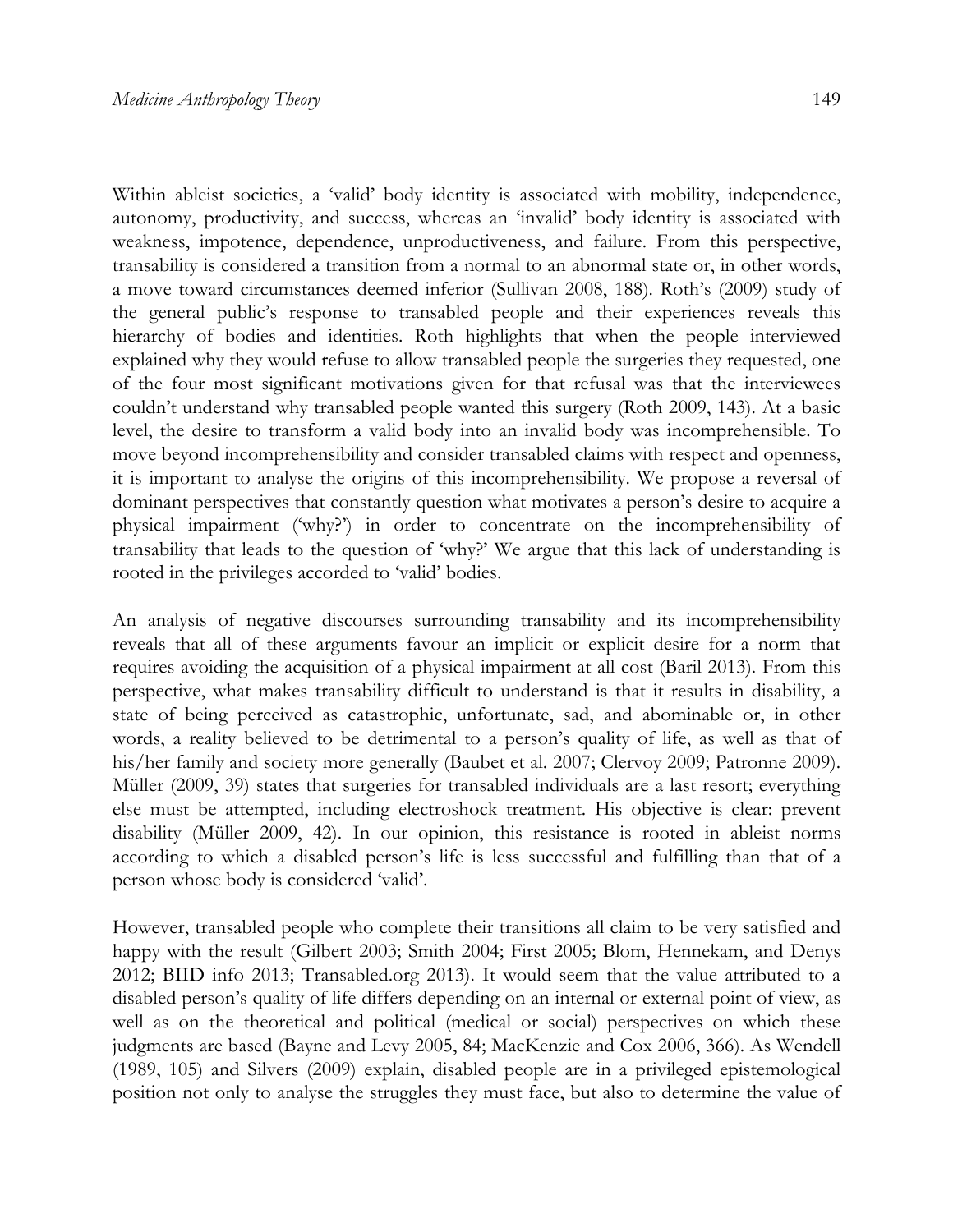Within ableist societies, a 'valid' body identity is associated with mobility, independence, autonomy, productivity, and success, whereas an 'invalid' body identity is associated with weakness, impotence, dependence, unproductiveness, and failure. From this perspective, transability is considered a transition from a normal to an abnormal state or, in other words, a move toward circumstances deemed inferior (Sullivan 2008, 188). Roth's (2009) study of the general public's response to transabled people and their experiences reveals this hierarchy of bodies and identities. Roth highlights that when the people interviewed explained why they would refuse to allow transabled people the surgeries they requested, one of the four most significant motivations given for that refusal was that the interviewees couldn't understand why transabled people wanted this surgery (Roth 2009, 143). At a basic level, the desire to transform a valid body into an invalid body was incomprehensible. To move beyond incomprehensibility and consider transabled claims with respect and openness, it is important to analyse the origins of this incomprehensibility. We propose a reversal of dominant perspectives that constantly question what motivates a person's desire to acquire a physical impairment ('why?') in order to concentrate on the incomprehensibility of transability that leads to the question of 'why?' We argue that this lack of understanding is rooted in the privileges accorded to 'valid' bodies.

An analysis of negative discourses surrounding transability and its incomprehensibility reveals that all of these arguments favour an implicit or explicit desire for a norm that requires avoiding the acquisition of a physical impairment at all cost (Baril 2013). From this perspective, what makes transability difficult to understand is that it results in disability, a state of being perceived as catastrophic, unfortunate, sad, and abominable or, in other words, a reality believed to be detrimental to a person's quality of life, as well as that of his/her family and society more generally (Baubet et al. 2007; Clervoy 2009; Patronne 2009). Müller (2009, 39) states that surgeries for transabled individuals are a last resort; everything else must be attempted, including electroshock treatment. His objective is clear: prevent disability (Müller 2009, 42). In our opinion, this resistance is rooted in ableist norms according to which a disabled person's life is less successful and fulfilling than that of a person whose body is considered 'valid'.

However, transabled people who complete their transitions all claim to be very satisfied and happy with the result (Gilbert 2003; Smith 2004; First 2005; Blom, Hennekam, and Denys 2012; BIID info 2013; Transabled.org 2013). It would seem that the value attributed to a disabled person's quality of life differs depending on an internal or external point of view, as well as on the theoretical and political (medical or social) perspectives on which these judgments are based (Bayne and Levy 2005, 84; MacKenzie and Cox 2006, 366). As Wendell (1989, 105) and Silvers (2009) explain, disabled people are in a privileged epistemological position not only to analyse the struggles they must face, but also to determine the value of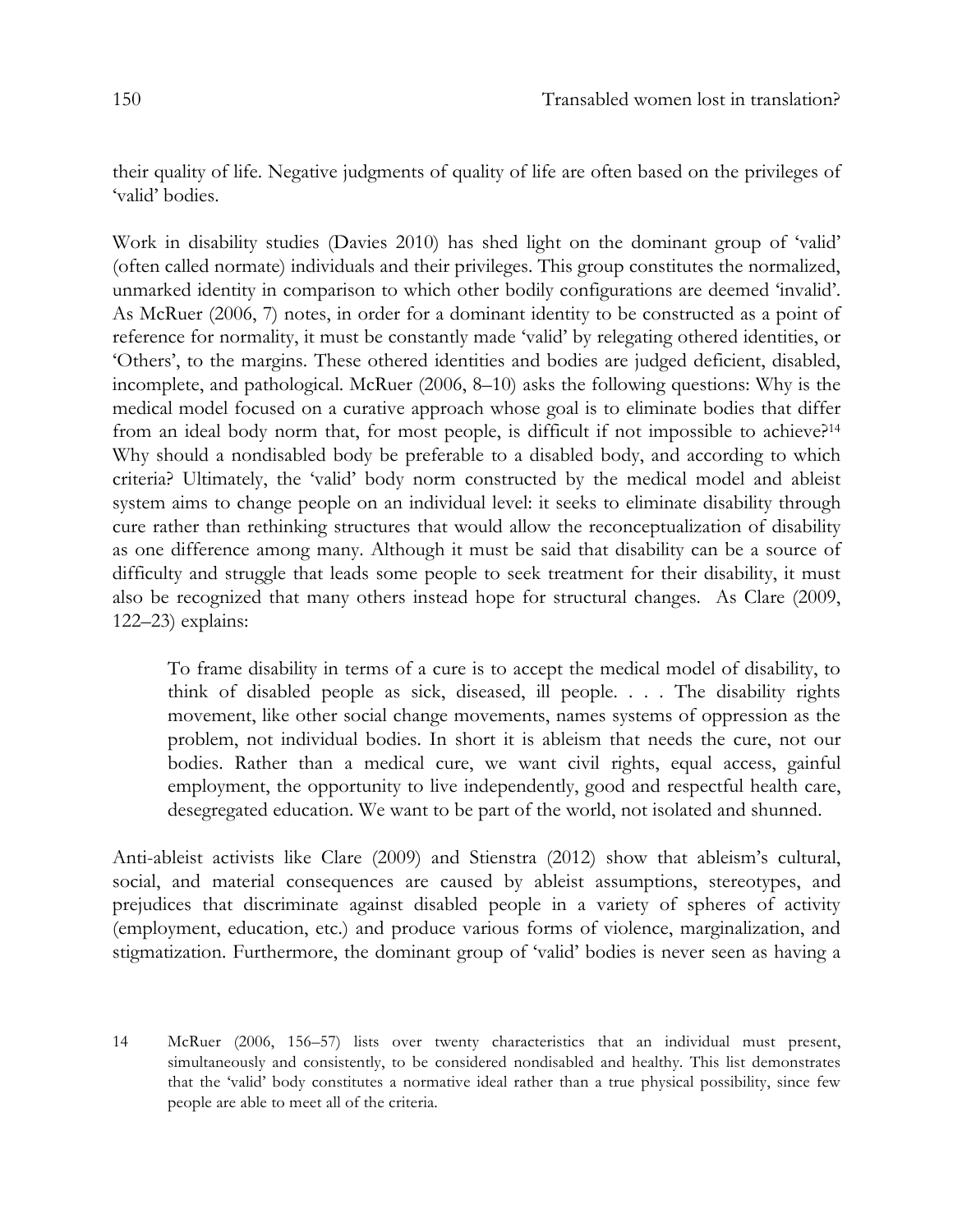their quality of life. Negative judgments of quality of life are often based on the privileges of 'valid' bodies.

Work in disability studies (Davies 2010) has shed light on the dominant group of 'valid' (often called normate) individuals and their privileges. This group constitutes the normalized, unmarked identity in comparison to which other bodily configurations are deemed 'invalid'. As McRuer (2006, 7) notes, in order for a dominant identity to be constructed as a point of reference for normality, it must be constantly made 'valid' by relegating othered identities, or 'Others', to the margins. These othered identities and bodies are judged deficient, disabled, incomplete, and pathological. McRuer (2006, 8–10) asks the following questions: Why is the medical model focused on a curative approach whose goal is to eliminate bodies that differ from an ideal body norm that, for most people, is difficult if not impossible to achieve?14 Why should a nondisabled body be preferable to a disabled body, and according to which criteria? Ultimately, the 'valid' body norm constructed by the medical model and ableist system aims to change people on an individual level: it seeks to eliminate disability through cure rather than rethinking structures that would allow the reconceptualization of disability as one difference among many. Although it must be said that disability can be a source of difficulty and struggle that leads some people to seek treatment for their disability, it must also be recognized that many others instead hope for structural changes. As Clare (2009, 122–23) explains:

To frame disability in terms of a cure is to accept the medical model of disability, to think of disabled people as sick, diseased, ill people. . . . The disability rights movement, like other social change movements, names systems of oppression as the problem, not individual bodies. In short it is ableism that needs the cure, not our bodies. Rather than a medical cure, we want civil rights, equal access, gainful employment, the opportunity to live independently, good and respectful health care, desegregated education. We want to be part of the world, not isolated and shunned.

Anti-ableist activists like Clare (2009) and Stienstra (2012) show that ableism's cultural, social, and material consequences are caused by ableist assumptions, stereotypes, and prejudices that discriminate against disabled people in a variety of spheres of activity (employment, education, etc.) and produce various forms of violence, marginalization, and stigmatization. Furthermore, the dominant group of 'valid' bodies is never seen as having a

<sup>14</sup> McRuer (2006, 156–57) lists over twenty characteristics that an individual must present, simultaneously and consistently, to be considered nondisabled and healthy. This list demonstrates that the 'valid' body constitutes a normative ideal rather than a true physical possibility, since few people are able to meet all of the criteria.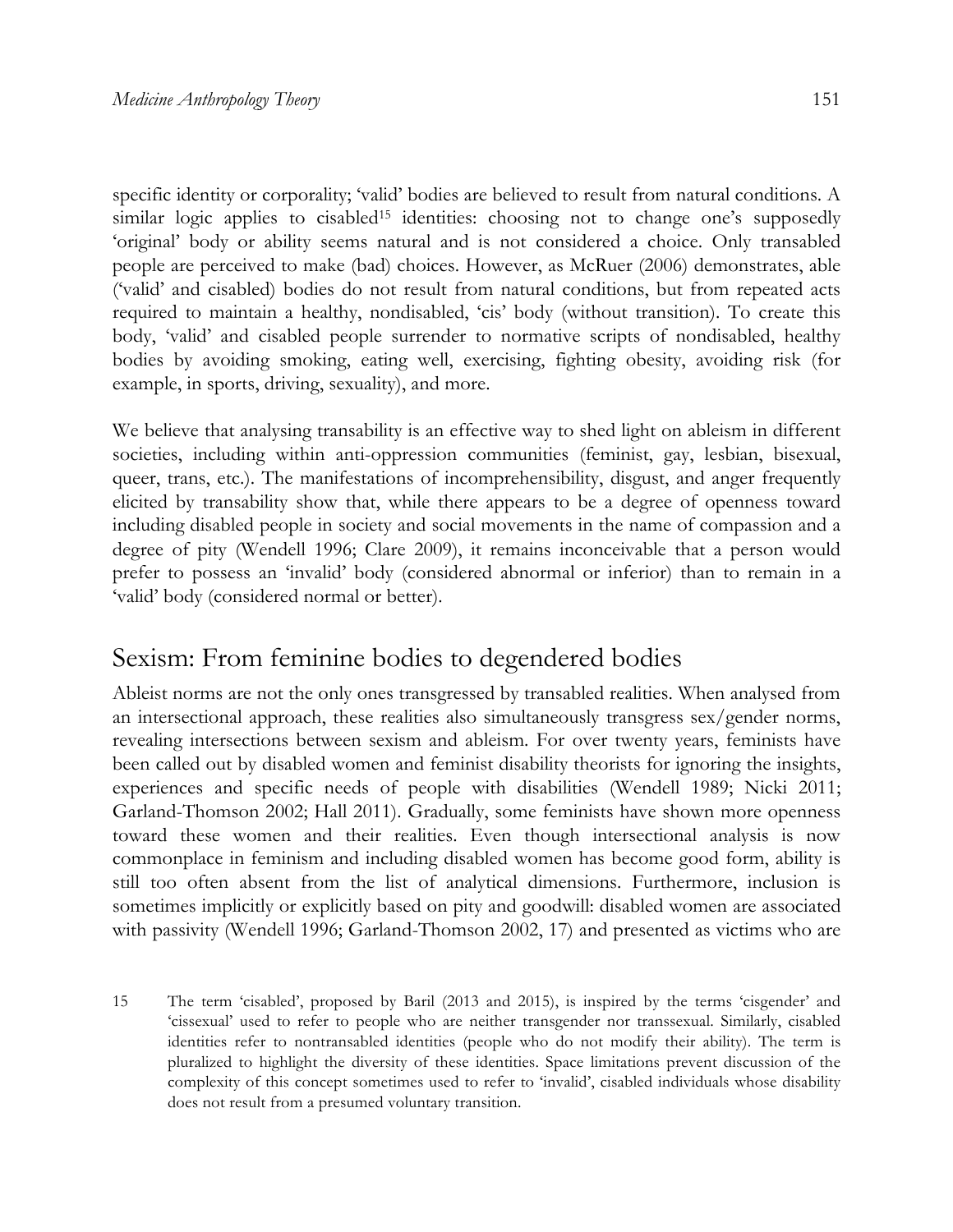specific identity or corporality; 'valid' bodies are believed to result from natural conditions. A similar logic applies to cisabled<sup>15</sup> identities: choosing not to change one's supposedly 'original' body or ability seems natural and is not considered a choice. Only transabled people are perceived to make (bad) choices. However, as McRuer (2006) demonstrates, able ('valid' and cisabled) bodies do not result from natural conditions, but from repeated acts required to maintain a healthy, nondisabled, 'cis' body (without transition). To create this body, 'valid' and cisabled people surrender to normative scripts of nondisabled, healthy bodies by avoiding smoking, eating well, exercising, fighting obesity, avoiding risk (for example, in sports, driving, sexuality), and more.

We believe that analysing transability is an effective way to shed light on ableism in different societies, including within anti-oppression communities (feminist, gay, lesbian, bisexual, queer, trans, etc.). The manifestations of incomprehensibility, disgust, and anger frequently elicited by transability show that, while there appears to be a degree of openness toward including disabled people in society and social movements in the name of compassion and a degree of pity (Wendell 1996; Clare 2009), it remains inconceivable that a person would prefer to possess an 'invalid' body (considered abnormal or inferior) than to remain in a 'valid' body (considered normal or better).

#### Sexism: From feminine bodies to degendered bodies

Ableist norms are not the only ones transgressed by transabled realities. When analysed from an intersectional approach, these realities also simultaneously transgress sex/gender norms, revealing intersections between sexism and ableism. For over twenty years, feminists have been called out by disabled women and feminist disability theorists for ignoring the insights, experiences and specific needs of people with disabilities (Wendell 1989; Nicki 2011; Garland-Thomson 2002; Hall 2011). Gradually, some feminists have shown more openness toward these women and their realities. Even though intersectional analysis is now commonplace in feminism and including disabled women has become good form, ability is still too often absent from the list of analytical dimensions. Furthermore, inclusion is sometimes implicitly or explicitly based on pity and goodwill: disabled women are associated with passivity (Wendell 1996; Garland-Thomson 2002, 17) and presented as victims who are

15 The term 'cisabled', proposed by Baril (2013 and 2015), is inspired by the terms 'cisgender' and 'cissexual' used to refer to people who are neither transgender nor transsexual. Similarly, cisabled identities refer to nontransabled identities (people who do not modify their ability). The term is pluralized to highlight the diversity of these identities. Space limitations prevent discussion of the complexity of this concept sometimes used to refer to 'invalid', cisabled individuals whose disability does not result from a presumed voluntary transition.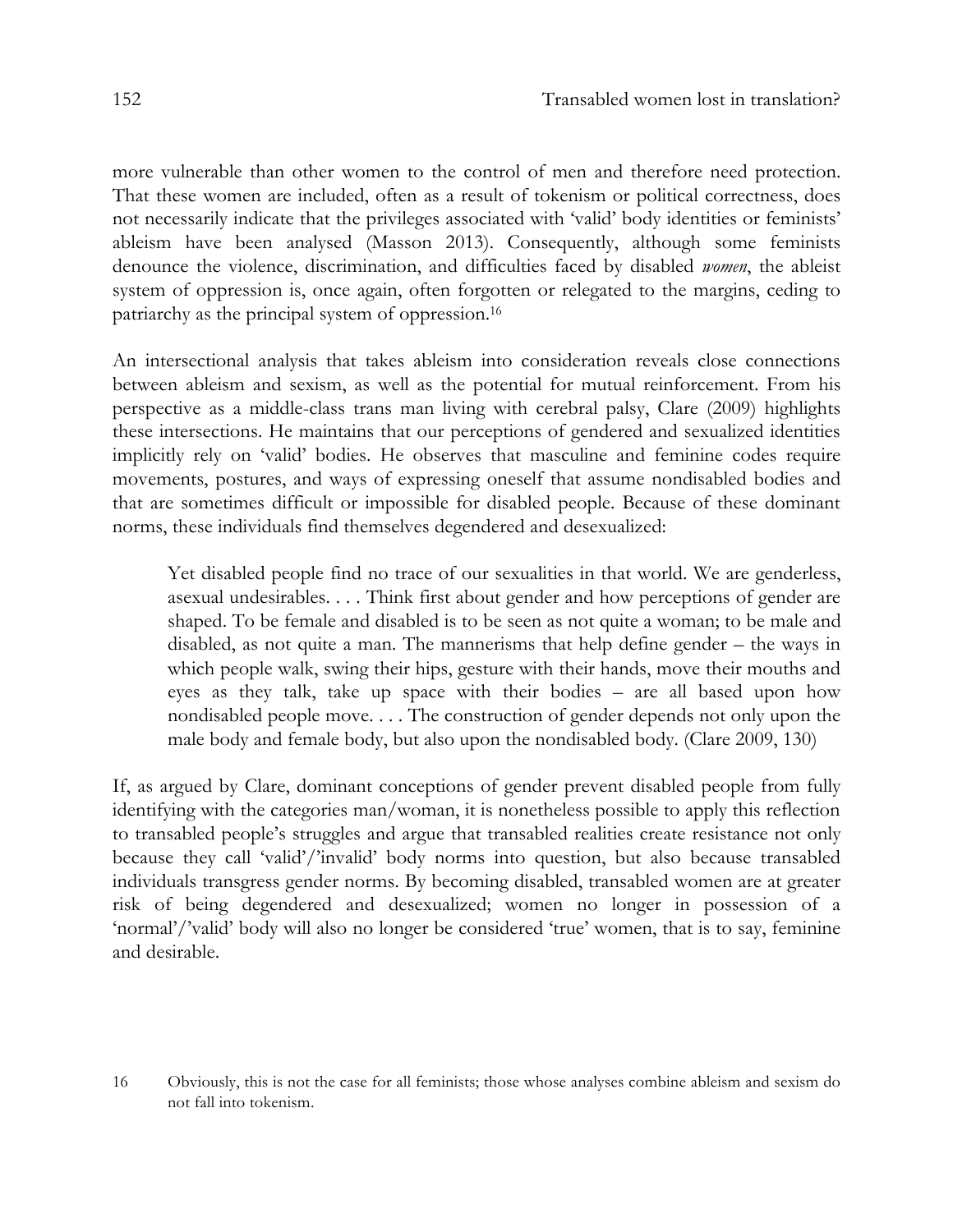more vulnerable than other women to the control of men and therefore need protection. That these women are included, often as a result of tokenism or political correctness, does not necessarily indicate that the privileges associated with 'valid' body identities or feminists' ableism have been analysed (Masson 2013). Consequently, although some feminists denounce the violence, discrimination, and difficulties faced by disabled *women*, the ableist system of oppression is, once again, often forgotten or relegated to the margins, ceding to patriarchy as the principal system of oppression.16

An intersectional analysis that takes ableism into consideration reveals close connections between ableism and sexism, as well as the potential for mutual reinforcement. From his perspective as a middle-class trans man living with cerebral palsy, Clare (2009) highlights these intersections. He maintains that our perceptions of gendered and sexualized identities implicitly rely on 'valid' bodies. He observes that masculine and feminine codes require movements, postures, and ways of expressing oneself that assume nondisabled bodies and that are sometimes difficult or impossible for disabled people. Because of these dominant norms, these individuals find themselves degendered and desexualized:

Yet disabled people find no trace of our sexualities in that world. We are genderless, asexual undesirables. . . . Think first about gender and how perceptions of gender are shaped. To be female and disabled is to be seen as not quite a woman; to be male and disabled, as not quite a man. The mannerisms that help define gender – the ways in which people walk, swing their hips, gesture with their hands, move their mouths and eyes as they talk, take up space with their bodies – are all based upon how nondisabled people move. . . . The construction of gender depends not only upon the male body and female body, but also upon the nondisabled body. (Clare 2009, 130)

If, as argued by Clare, dominant conceptions of gender prevent disabled people from fully identifying with the categories man/woman, it is nonetheless possible to apply this reflection to transabled people's struggles and argue that transabled realities create resistance not only because they call 'valid'/'invalid' body norms into question, but also because transabled individuals transgress gender norms. By becoming disabled, transabled women are at greater risk of being degendered and desexualized; women no longer in possession of a 'normal'/'valid' body will also no longer be considered 'true' women, that is to say, feminine and desirable.

<sup>16</sup> Obviously, this is not the case for all feminists; those whose analyses combine ableism and sexism do not fall into tokenism.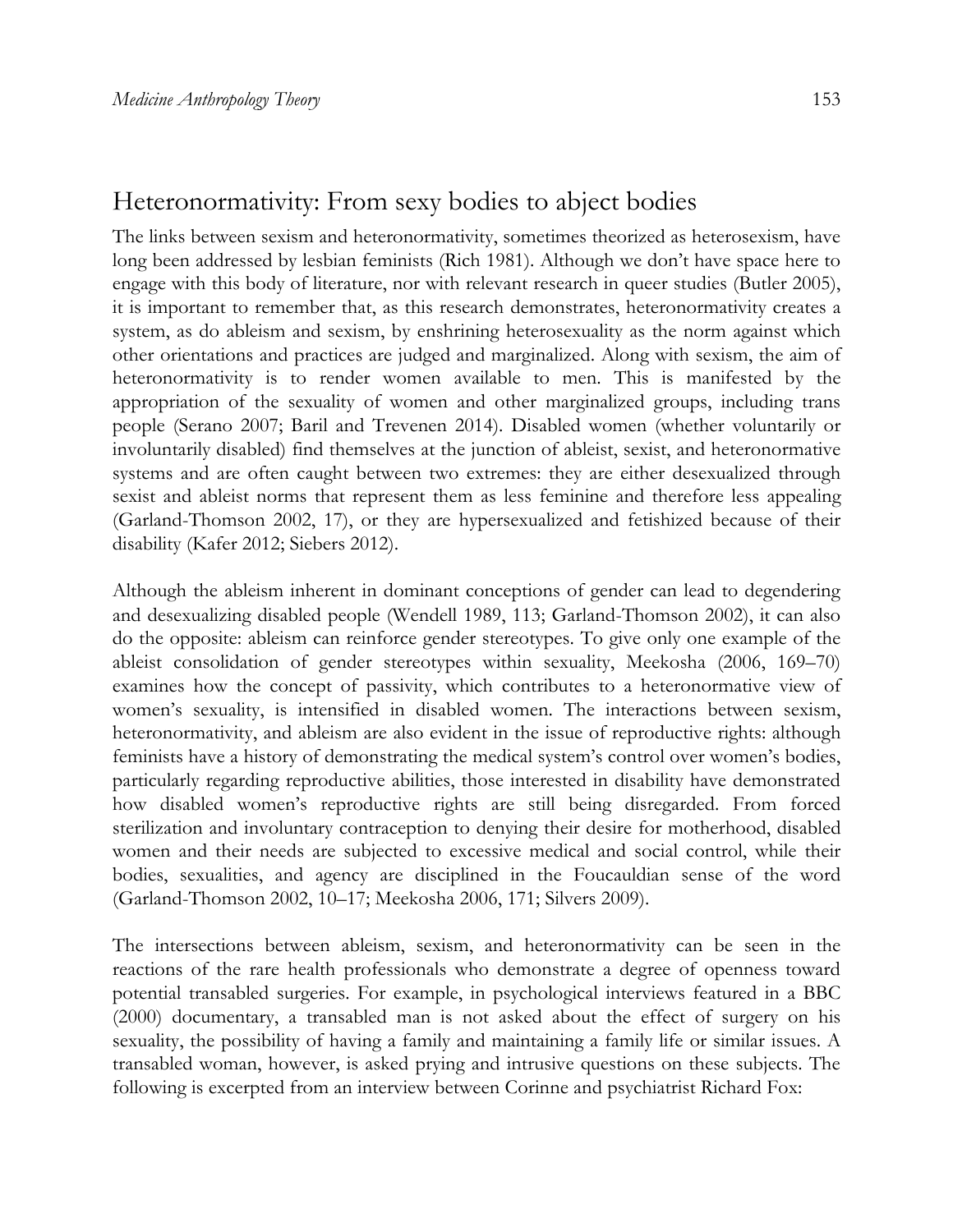#### Heteronormativity: From sexy bodies to abject bodies

The links between sexism and heteronormativity, sometimes theorized as heterosexism, have long been addressed by lesbian feminists (Rich 1981). Although we don't have space here to engage with this body of literature, nor with relevant research in queer studies (Butler 2005), it is important to remember that, as this research demonstrates, heteronormativity creates a system, as do ableism and sexism, by enshrining heterosexuality as the norm against which other orientations and practices are judged and marginalized. Along with sexism, the aim of heteronormativity is to render women available to men. This is manifested by the appropriation of the sexuality of women and other marginalized groups, including trans people (Serano 2007; Baril and Trevenen 2014). Disabled women (whether voluntarily or involuntarily disabled) find themselves at the junction of ableist, sexist, and heteronormative systems and are often caught between two extremes: they are either desexualized through sexist and ableist norms that represent them as less feminine and therefore less appealing (Garland-Thomson 2002, 17), or they are hypersexualized and fetishized because of their disability (Kafer 2012; Siebers 2012).

Although the ableism inherent in dominant conceptions of gender can lead to degendering and desexualizing disabled people (Wendell 1989, 113; Garland-Thomson 2002), it can also do the opposite: ableism can reinforce gender stereotypes. To give only one example of the ableist consolidation of gender stereotypes within sexuality, Meekosha (2006, 169–70) examines how the concept of passivity, which contributes to a heteronormative view of women's sexuality, is intensified in disabled women. The interactions between sexism, heteronormativity, and ableism are also evident in the issue of reproductive rights: although feminists have a history of demonstrating the medical system's control over women's bodies, particularly regarding reproductive abilities, those interested in disability have demonstrated how disabled women's reproductive rights are still being disregarded. From forced sterilization and involuntary contraception to denying their desire for motherhood, disabled women and their needs are subjected to excessive medical and social control, while their bodies, sexualities, and agency are disciplined in the Foucauldian sense of the word (Garland-Thomson 2002, 10–17; Meekosha 2006, 171; Silvers 2009).

The intersections between ableism, sexism, and heteronormativity can be seen in the reactions of the rare health professionals who demonstrate a degree of openness toward potential transabled surgeries. For example, in psychological interviews featured in a BBC (2000) documentary, a transabled man is not asked about the effect of surgery on his sexuality, the possibility of having a family and maintaining a family life or similar issues. A transabled woman, however, is asked prying and intrusive questions on these subjects. The following is excerpted from an interview between Corinne and psychiatrist Richard Fox: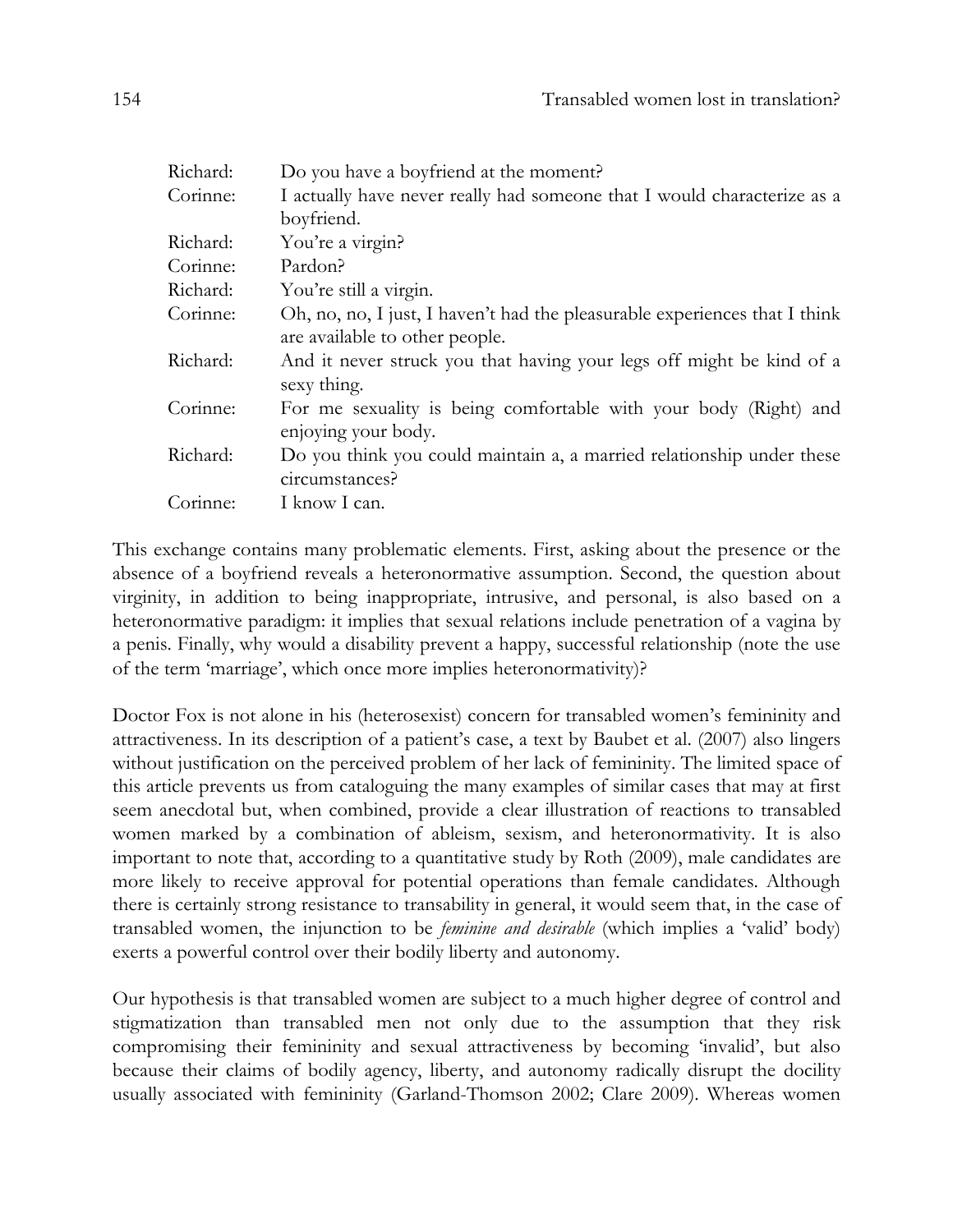| Do you have a boyfriend at the moment?                                                  |
|-----------------------------------------------------------------------------------------|
| I actually have never really had someone that I would characterize as a                 |
| boyfriend.                                                                              |
| You're a virgin?                                                                        |
| Pardon?                                                                                 |
| You're still a virgin.                                                                  |
| Oh, no, no, I just, I haven't had the pleasurable experiences that I think              |
| are available to other people.                                                          |
| And it never struck you that having your legs off might be kind of a<br>sexy thing.     |
| For me sexuality is being comfortable with your body (Right) and<br>enjoying your body. |
| Do you think you could maintain a, a married relationship under these<br>circumstances? |
| I know I can.                                                                           |
|                                                                                         |

This exchange contains many problematic elements. First, asking about the presence or the absence of a boyfriend reveals a heteronormative assumption. Second, the question about virginity, in addition to being inappropriate, intrusive, and personal, is also based on a heteronormative paradigm: it implies that sexual relations include penetration of a vagina by a penis. Finally, why would a disability prevent a happy, successful relationship (note the use of the term 'marriage', which once more implies heteronormativity)?

Doctor Fox is not alone in his (heterosexist) concern for transabled women's femininity and attractiveness. In its description of a patient's case, a text by Baubet et al. (2007) also lingers without justification on the perceived problem of her lack of femininity. The limited space of this article prevents us from cataloguing the many examples of similar cases that may at first seem anecdotal but, when combined, provide a clear illustration of reactions to transabled women marked by a combination of ableism, sexism, and heteronormativity. It is also important to note that, according to a quantitative study by Roth (2009), male candidates are more likely to receive approval for potential operations than female candidates. Although there is certainly strong resistance to transability in general, it would seem that, in the case of transabled women, the injunction to be *feminine and desirable* (which implies a 'valid' body) exerts a powerful control over their bodily liberty and autonomy.

Our hypothesis is that transabled women are subject to a much higher degree of control and stigmatization than transabled men not only due to the assumption that they risk compromising their femininity and sexual attractiveness by becoming 'invalid', but also because their claims of bodily agency, liberty, and autonomy radically disrupt the docility usually associated with femininity (Garland-Thomson 2002; Clare 2009). Whereas women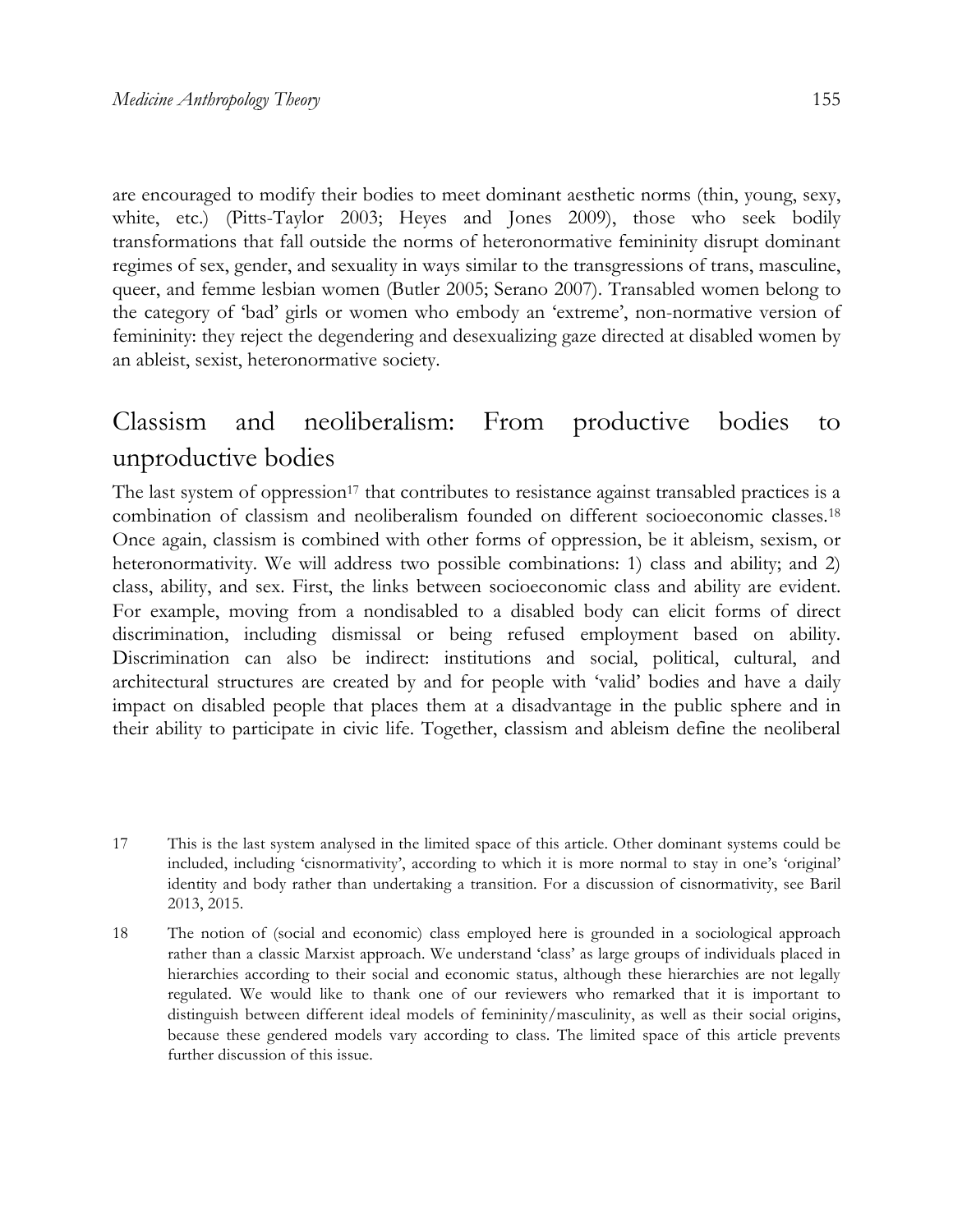are encouraged to modify their bodies to meet dominant aesthetic norms (thin, young, sexy, white, etc.) (Pitts-Taylor 2003; Heyes and Jones 2009), those who seek bodily transformations that fall outside the norms of heteronormative femininity disrupt dominant regimes of sex, gender, and sexuality in ways similar to the transgressions of trans, masculine, queer, and femme lesbian women (Butler 2005; Serano 2007). Transabled women belong to the category of 'bad' girls or women who embody an 'extreme', non-normative version of femininity: they reject the degendering and desexualizing gaze directed at disabled women by an ableist, sexist, heteronormative society.

## Classism and neoliberalism: From productive bodies to unproductive bodies

The last system of oppression<sup>17</sup> that contributes to resistance against transabled practices is a combination of classism and neoliberalism founded on different socioeconomic classes.18 Once again, classism is combined with other forms of oppression, be it ableism, sexism, or heteronormativity. We will address two possible combinations: 1) class and ability; and 2) class, ability, and sex. First, the links between socioeconomic class and ability are evident. For example, moving from a nondisabled to a disabled body can elicit forms of direct discrimination, including dismissal or being refused employment based on ability. Discrimination can also be indirect: institutions and social, political, cultural, and architectural structures are created by and for people with 'valid' bodies and have a daily impact on disabled people that places them at a disadvantage in the public sphere and in their ability to participate in civic life. Together, classism and ableism define the neoliberal

<sup>17</sup> This is the last system analysed in the limited space of this article. Other dominant systems could be included, including 'cisnormativity', according to which it is more normal to stay in one's 'original' identity and body rather than undertaking a transition. For a discussion of cisnormativity, see Baril 2013, 2015.

<sup>18</sup> The notion of (social and economic) class employed here is grounded in a sociological approach rather than a classic Marxist approach. We understand 'class' as large groups of individuals placed in hierarchies according to their social and economic status, although these hierarchies are not legally regulated. We would like to thank one of our reviewers who remarked that it is important to distinguish between different ideal models of femininity/masculinity, as well as their social origins, because these gendered models vary according to class. The limited space of this article prevents further discussion of this issue.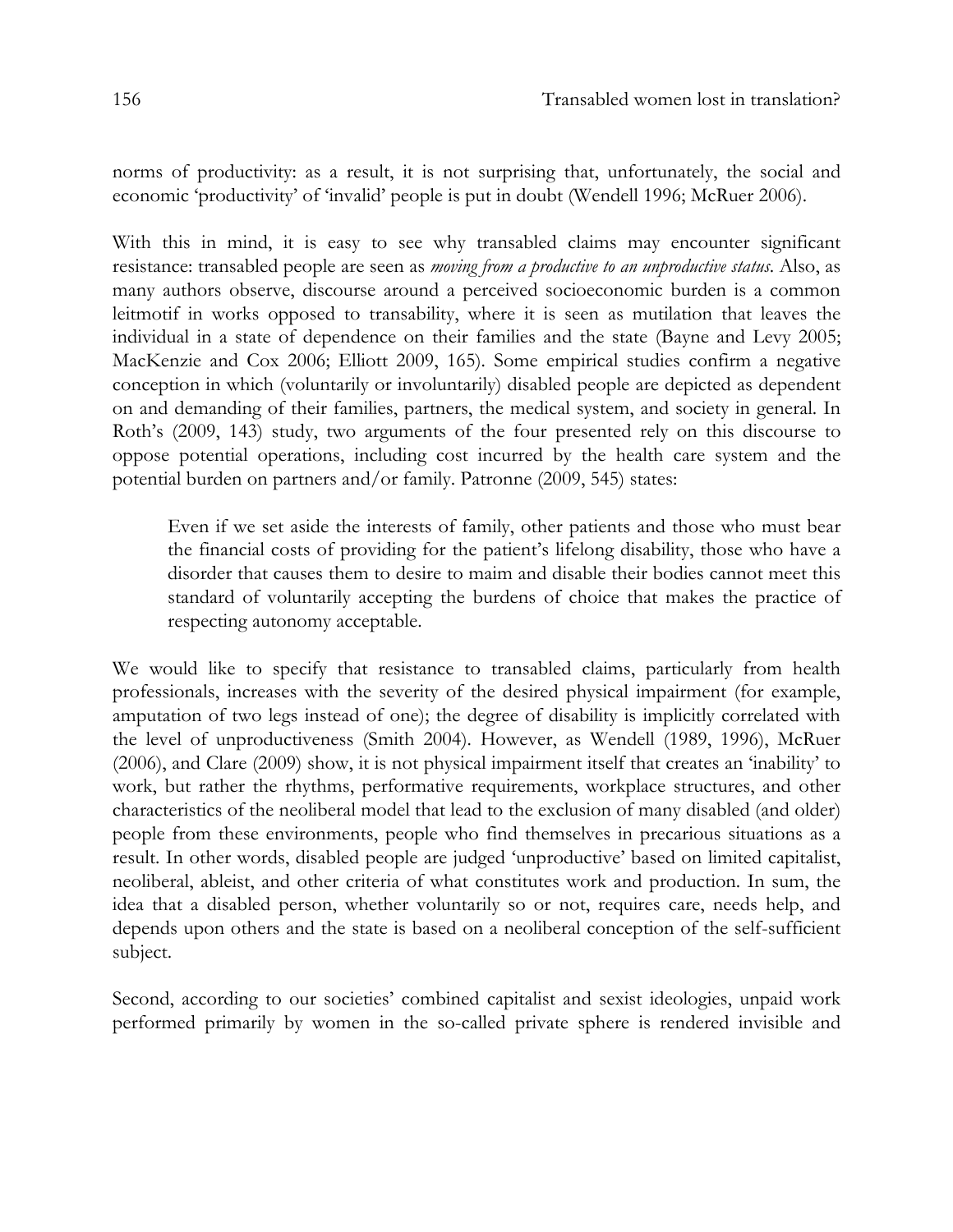norms of productivity: as a result, it is not surprising that, unfortunately, the social and economic 'productivity' of 'invalid' people is put in doubt (Wendell 1996; McRuer 2006).

With this in mind, it is easy to see why transabled claims may encounter significant resistance: transabled people are seen as *moving from a productive to an unproductive status*. Also, as many authors observe, discourse around a perceived socioeconomic burden is a common leitmotif in works opposed to transability, where it is seen as mutilation that leaves the individual in a state of dependence on their families and the state (Bayne and Levy 2005; MacKenzie and Cox 2006; Elliott 2009, 165). Some empirical studies confirm a negative conception in which (voluntarily or involuntarily) disabled people are depicted as dependent on and demanding of their families, partners, the medical system, and society in general. In Roth's (2009, 143) study, two arguments of the four presented rely on this discourse to oppose potential operations, including cost incurred by the health care system and the potential burden on partners and/or family. Patronne (2009, 545) states:

Even if we set aside the interests of family, other patients and those who must bear the financial costs of providing for the patient's lifelong disability, those who have a disorder that causes them to desire to maim and disable their bodies cannot meet this standard of voluntarily accepting the burdens of choice that makes the practice of respecting autonomy acceptable.

We would like to specify that resistance to transabled claims, particularly from health professionals, increases with the severity of the desired physical impairment (for example, amputation of two legs instead of one); the degree of disability is implicitly correlated with the level of unproductiveness (Smith 2004). However, as Wendell (1989, 1996), McRuer (2006), and Clare (2009) show, it is not physical impairment itself that creates an 'inability' to work, but rather the rhythms, performative requirements, workplace structures, and other characteristics of the neoliberal model that lead to the exclusion of many disabled (and older) people from these environments, people who find themselves in precarious situations as a result. In other words, disabled people are judged 'unproductive' based on limited capitalist, neoliberal, ableist, and other criteria of what constitutes work and production. In sum, the idea that a disabled person, whether voluntarily so or not, requires care, needs help, and depends upon others and the state is based on a neoliberal conception of the self-sufficient subject.

Second, according to our societies' combined capitalist and sexist ideologies, unpaid work performed primarily by women in the so-called private sphere is rendered invisible and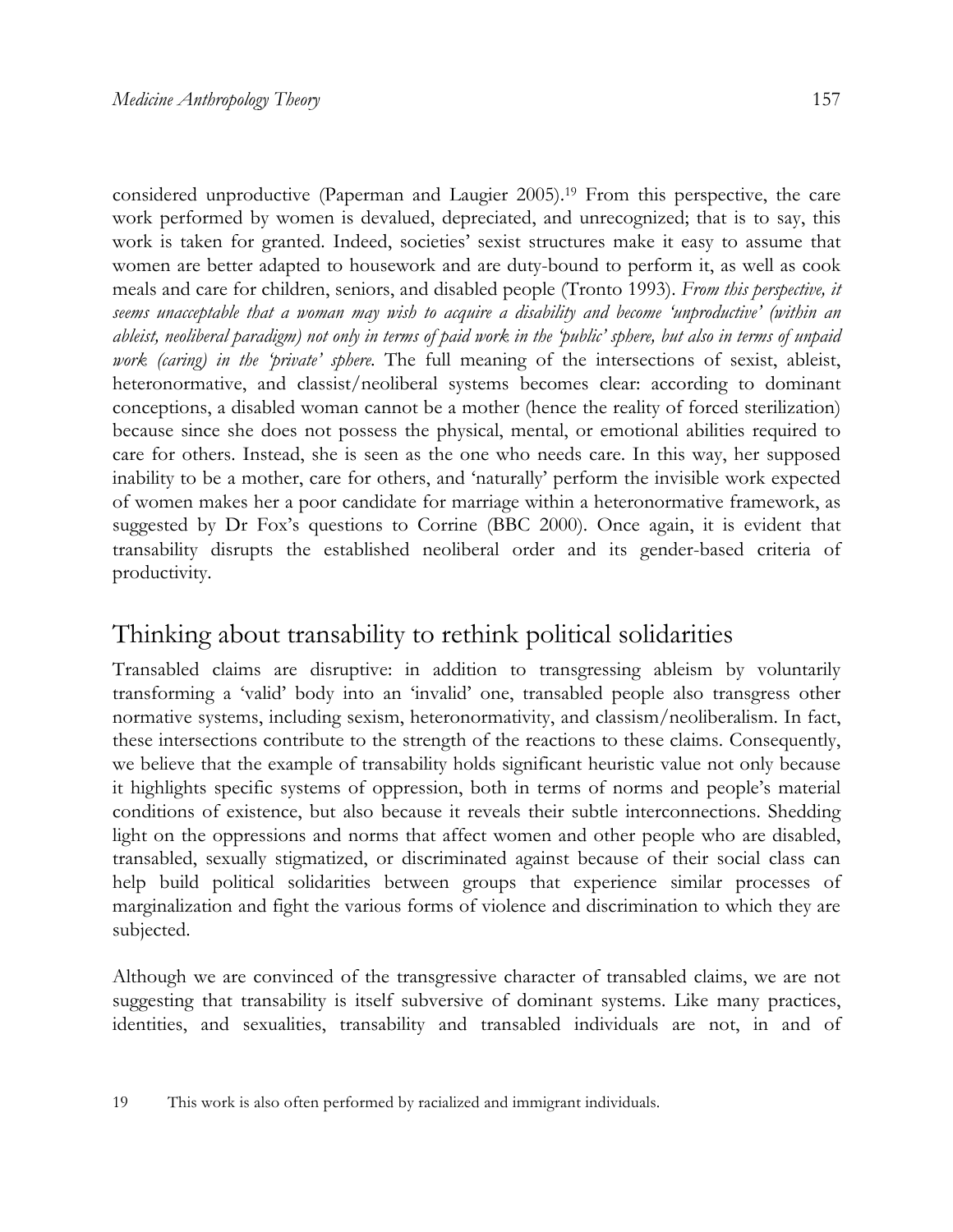considered unproductive (Paperman and Laugier 2005).19 From this perspective, the care work performed by women is devalued, depreciated, and unrecognized; that is to say, this work is taken for granted. Indeed, societies' sexist structures make it easy to assume that women are better adapted to housework and are duty-bound to perform it, as well as cook meals and care for children, seniors, and disabled people (Tronto 1993). *From this perspective, it seems unacceptable that a woman may wish to acquire a disability and become 'unproductive' (within an ableist, neoliberal paradigm) not only in terms of paid work in the 'public' sphere, but also in terms of unpaid work (caring) in the 'private' sphere.* The full meaning of the intersections of sexist, ableist, heteronormative, and classist/neoliberal systems becomes clear: according to dominant conceptions, a disabled woman cannot be a mother (hence the reality of forced sterilization) because since she does not possess the physical, mental, or emotional abilities required to care for others. Instead, she is seen as the one who needs care. In this way, her supposed inability to be a mother, care for others, and 'naturally' perform the invisible work expected of women makes her a poor candidate for marriage within a heteronormative framework, as suggested by Dr Fox's questions to Corrine (BBC 2000). Once again, it is evident that transability disrupts the established neoliberal order and its gender-based criteria of productivity.

#### Thinking about transability to rethink political solidarities

Transabled claims are disruptive: in addition to transgressing ableism by voluntarily transforming a 'valid' body into an 'invalid' one, transabled people also transgress other normative systems, including sexism, heteronormativity, and classism/neoliberalism. In fact, these intersections contribute to the strength of the reactions to these claims. Consequently, we believe that the example of transability holds significant heuristic value not only because it highlights specific systems of oppression, both in terms of norms and people's material conditions of existence, but also because it reveals their subtle interconnections. Shedding light on the oppressions and norms that affect women and other people who are disabled, transabled, sexually stigmatized, or discriminated against because of their social class can help build political solidarities between groups that experience similar processes of marginalization and fight the various forms of violence and discrimination to which they are subjected.

Although we are convinced of the transgressive character of transabled claims, we are not suggesting that transability is itself subversive of dominant systems. Like many practices, identities, and sexualities, transability and transabled individuals are not, in and of

<sup>19</sup> This work is also often performed by racialized and immigrant individuals.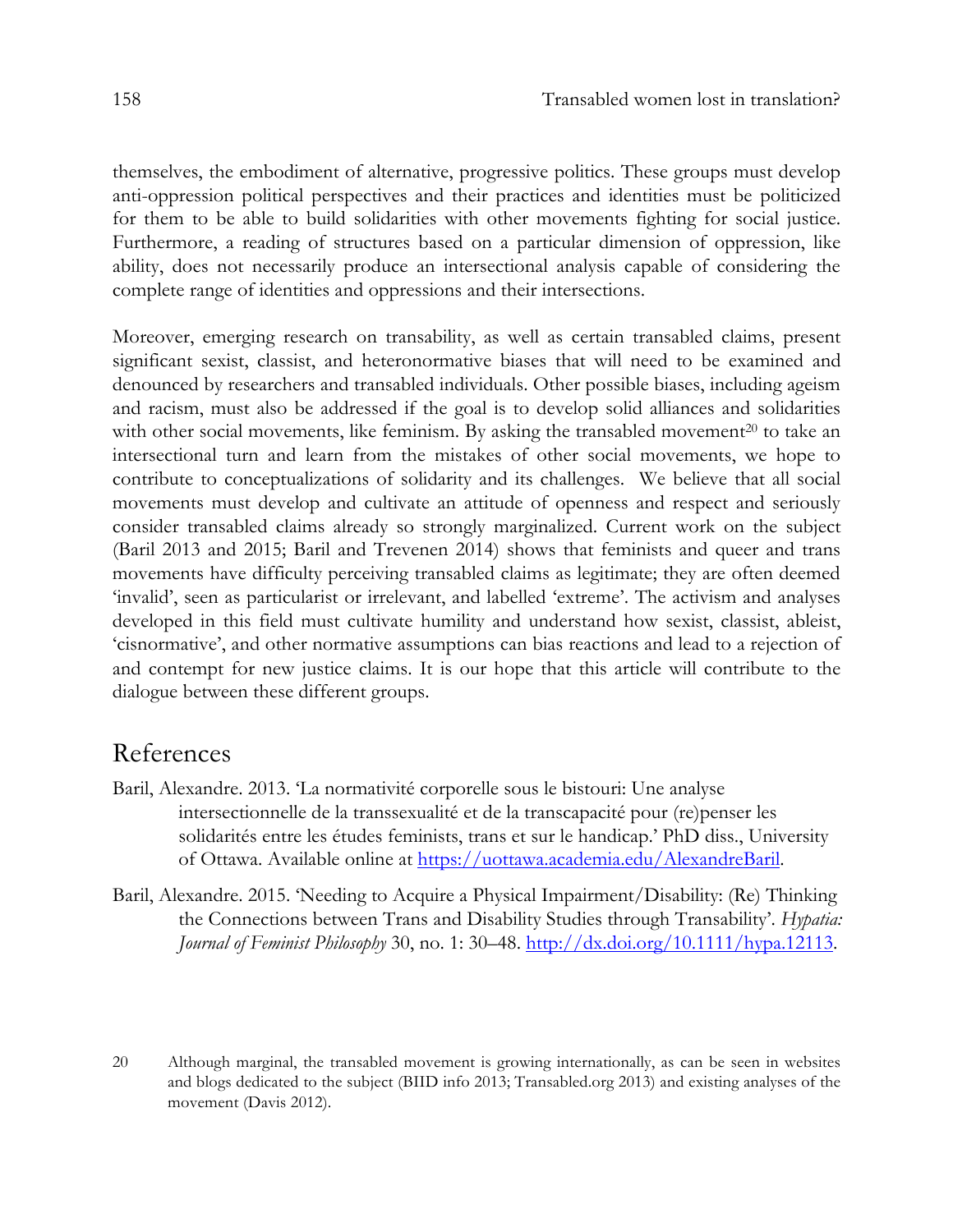themselves, the embodiment of alternative, progressive politics. These groups must develop anti-oppression political perspectives and their practices and identities must be politicized for them to be able to build solidarities with other movements fighting for social justice. Furthermore, a reading of structures based on a particular dimension of oppression, like ability, does not necessarily produce an intersectional analysis capable of considering the complete range of identities and oppressions and their intersections.

Moreover, emerging research on transability, as well as certain transabled claims, present significant sexist, classist, and heteronormative biases that will need to be examined and denounced by researchers and transabled individuals. Other possible biases, including ageism and racism, must also be addressed if the goal is to develop solid alliances and solidarities with other social movements, like feminism. By asking the transabled movement $^{20}$  to take an intersectional turn and learn from the mistakes of other social movements, we hope to contribute to conceptualizations of solidarity and its challenges. We believe that all social movements must develop and cultivate an attitude of openness and respect and seriously consider transabled claims already so strongly marginalized. Current work on the subject (Baril 2013 and 2015; Baril and Trevenen 2014) shows that feminists and queer and trans movements have difficulty perceiving transabled claims as legitimate; they are often deemed 'invalid', seen as particularist or irrelevant, and labelled 'extreme'. The activism and analyses developed in this field must cultivate humility and understand how sexist, classist, ableist, 'cisnormative', and other normative assumptions can bias reactions and lead to a rejection of and contempt for new justice claims. It is our hope that this article will contribute to the dialogue between these different groups.

#### References

- Baril, Alexandre. 2013. 'La normativité corporelle sous le bistouri: Une analyse intersectionnelle de la transsexualité et de la transcapacité pour (re)penser les solidarités entre les études feminists, trans et sur le handicap.' PhD diss., University of Ottawa. Available online at https://uottawa.academia.edu/AlexandreBaril.
- Baril, Alexandre. 2015. 'Needing to Acquire a Physical Impairment/Disability: (Re) Thinking the Connections between Trans and Disability Studies through Transability'. *Hypatia: Journal of Feminist Philosophy* 30, no. 1: 30–48. http://dx.doi.org/10.1111/hypa.12113.
- 20 Although marginal, the transabled movement is growing internationally, as can be seen in websites and blogs dedicated to the subject (BIID info 2013; Transabled.org 2013) and existing analyses of the movement (Davis 2012).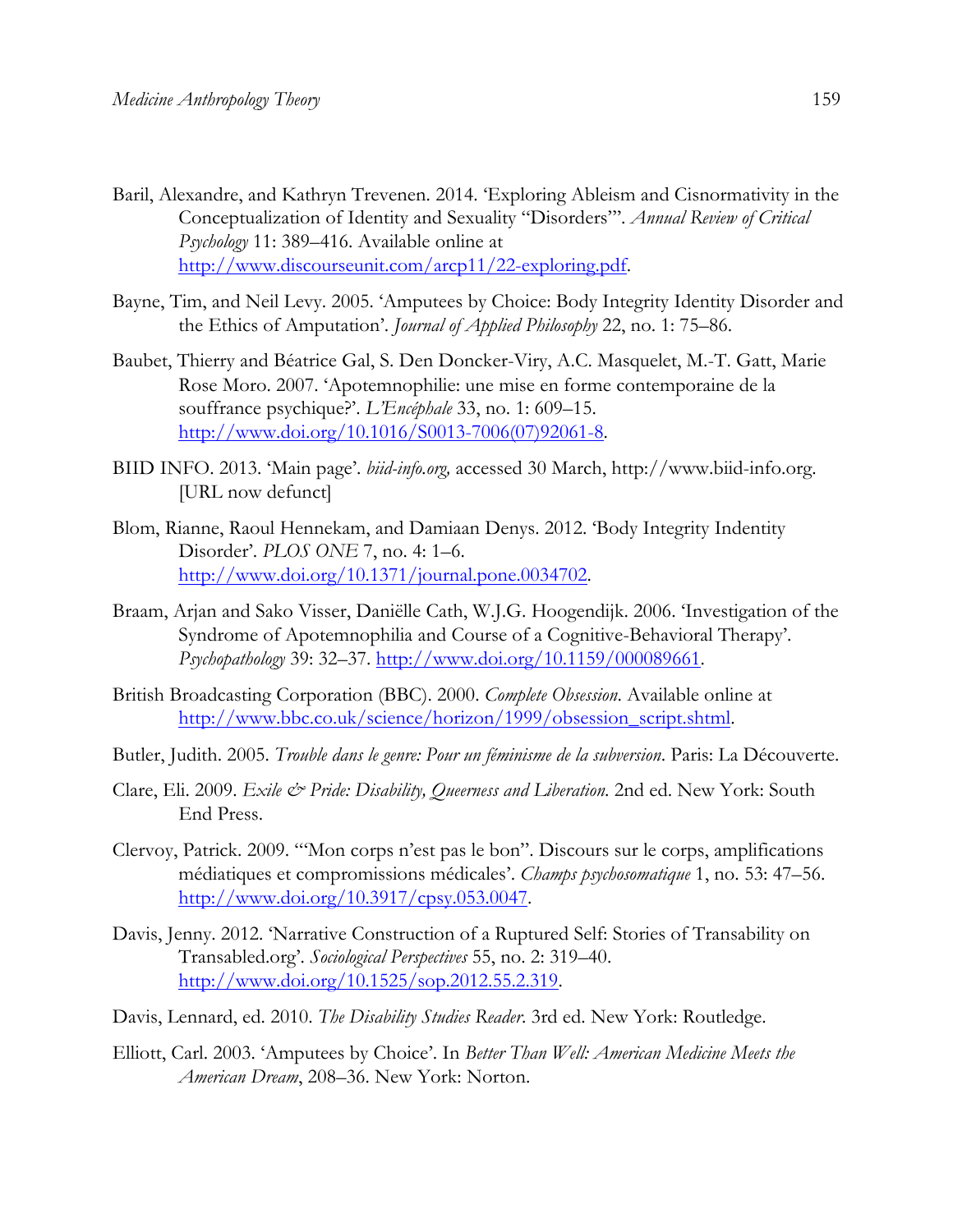- Baril, Alexandre, and Kathryn Trevenen. 2014. 'Exploring Ableism and Cisnormativity in the Conceptualization of Identity and Sexuality "Disorders"'. *Annual Review of Critical Psychology* 11: 389–416. Available online at http://www.discourseunit.com/arcp11/22-exploring.pdf.
- Bayne, Tim, and Neil Levy. 2005. 'Amputees by Choice: Body Integrity Identity Disorder and the Ethics of Amputation'. *Journal of Applied Philosophy* 22, no. 1: 75–86.
- Baubet, Thierry and Béatrice Gal, S. Den Doncker-Viry, A.C. Masquelet, M.-T. Gatt, Marie Rose Moro. 2007. 'Apotemnophilie: une mise en forme contemporaine de la souffrance psychique?'. *L'Encéphale* 33, no. 1: 609–15. http://www.doi.org/10.1016/S0013-7006(07)92061-8.
- BIID INFO. 2013. 'Main page'. *biid-info.org,* accessed 30 March, http://www.biid-info.org. [URL now defunct]
- Blom, Rianne, Raoul Hennekam, and Damiaan Denys. 2012. 'Body Integrity Indentity Disorder'. *PLOS ONE* 7, no. 4: 1–6. http://www.doi.org/10.1371/journal.pone.0034702.
- Braam, Arjan and Sako Visser, Daniëlle Cath, W.J.G. Hoogendijk. 2006. 'Investigation of the Syndrome of Apotemnophilia and Course of a Cognitive-Behavioral Therapy'. *Psychopathology* 39: 32–37. http://www.doi.org/10.1159/000089661.
- British Broadcasting Corporation (BBC). 2000. *Complete Obsession*. Available online at http://www.bbc.co.uk/science/horizon/1999/obsession\_script.shtml.
- Butler, Judith. 2005. *Trouble dans le genre: Pour un féminisme de la subversion*. Paris: La Découverte.
- Clare, Eli. 2009. *Exile & Pride: Disability, Queerness and Liberation*. 2nd ed. New York: South End Press.
- Clervoy, Patrick. 2009. "'Mon corps n'est pas le bon". Discours sur le corps, amplifications médiatiques et compromissions médicales'. *Champs psychosomatique* 1, no. 53: 47–56. http://www.doi.org/10.3917/cpsy.053.0047.
- Davis, Jenny. 2012. 'Narrative Construction of a Ruptured Self: Stories of Transability on Transabled.org'. *Sociological Perspectives* 55, no. 2: 319–40. http://www.doi.org/10.1525/sop.2012.55.2.319.
- Davis, Lennard, ed. 2010. *The Disability Studies Reader*. 3rd ed. New York: Routledge.
- Elliott, Carl. 2003. 'Amputees by Choice'. In *Better Than Well: American Medicine Meets the American Dream*, 208–36. New York: Norton.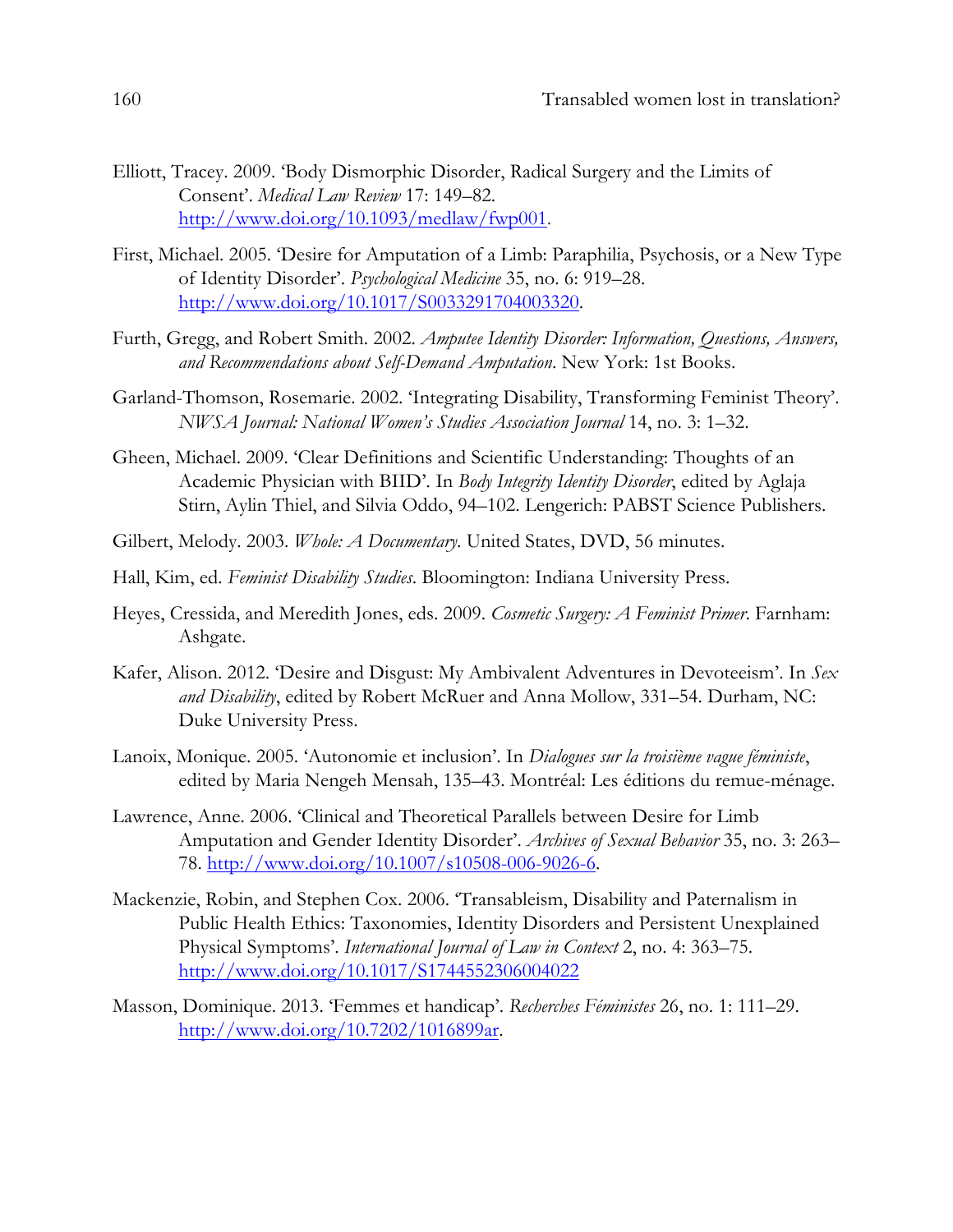- Elliott, Tracey. 2009. 'Body Dismorphic Disorder, Radical Surgery and the Limits of Consent'. *Medical Law Review* 17: 149–82. http://www.doi.org/10.1093/medlaw/fwp001.
- First, Michael. 2005. 'Desire for Amputation of a Limb: Paraphilia, Psychosis, or a New Type of Identity Disorder'. *Psychological Medicine* 35, no. 6: 919–28. http://www.doi.org/10.1017/S0033291704003320.
- Furth, Gregg, and Robert Smith. 2002. *Amputee Identity Disorder: Information, Questions, Answers, and Recommendations about Self-Demand Amputation*. New York: 1st Books.
- Garland-Thomson, Rosemarie. 2002. 'Integrating Disability, Transforming Feminist Theory'. *NWSA Journal: National Women's Studies Association Journal* 14, no. 3: 1–32.
- Gheen, Michael. 2009. 'Clear Definitions and Scientific Understanding: Thoughts of an Academic Physician with BIID'. In *Body Integrity Identity Disorder*, edited by Aglaja Stirn, Aylin Thiel, and Silvia Oddo, 94–102. Lengerich: PABST Science Publishers.
- Gilbert, Melody. 2003. *Whole: A Documentary*. United States, DVD, 56 minutes.
- Hall, Kim, ed. *Feminist Disability Studies*. Bloomington: Indiana University Press.
- Heyes, Cressida, and Meredith Jones, eds. 2009. *Cosmetic Surgery: A Feminist Primer*. Farnham: Ashgate.
- Kafer, Alison. 2012. 'Desire and Disgust: My Ambivalent Adventures in Devoteeism'. In *Sex and Disability*, edited by Robert McRuer and Anna Mollow, 331–54. Durham, NC: Duke University Press.
- Lanoix, Monique. 2005. 'Autonomie et inclusion'. In *Dialogues sur la troisième vague féministe*, edited by Maria Nengeh Mensah, 135–43. Montréal: Les éditions du remue-ménage.
- Lawrence, Anne. 2006. 'Clinical and Theoretical Parallels between Desire for Limb Amputation and Gender Identity Disorder'. *Archives of Sexual Behavior* 35, no. 3: 263– 78. http://www.doi.org/10.1007/s10508-006-9026-6.
- Mackenzie, Robin, and Stephen Cox. 2006. 'Transableism, Disability and Paternalism in Public Health Ethics: Taxonomies, Identity Disorders and Persistent Unexplained Physical Symptoms'. *International Journal of Law in Context* 2, no. 4: 363–75. http://www.doi.org/10.1017/S1744552306004022
- Masson, Dominique. 2013. 'Femmes et handicap'. *Recherches Féministes* 26, no. 1: 111–29. http://www.doi.org/10.7202/1016899ar.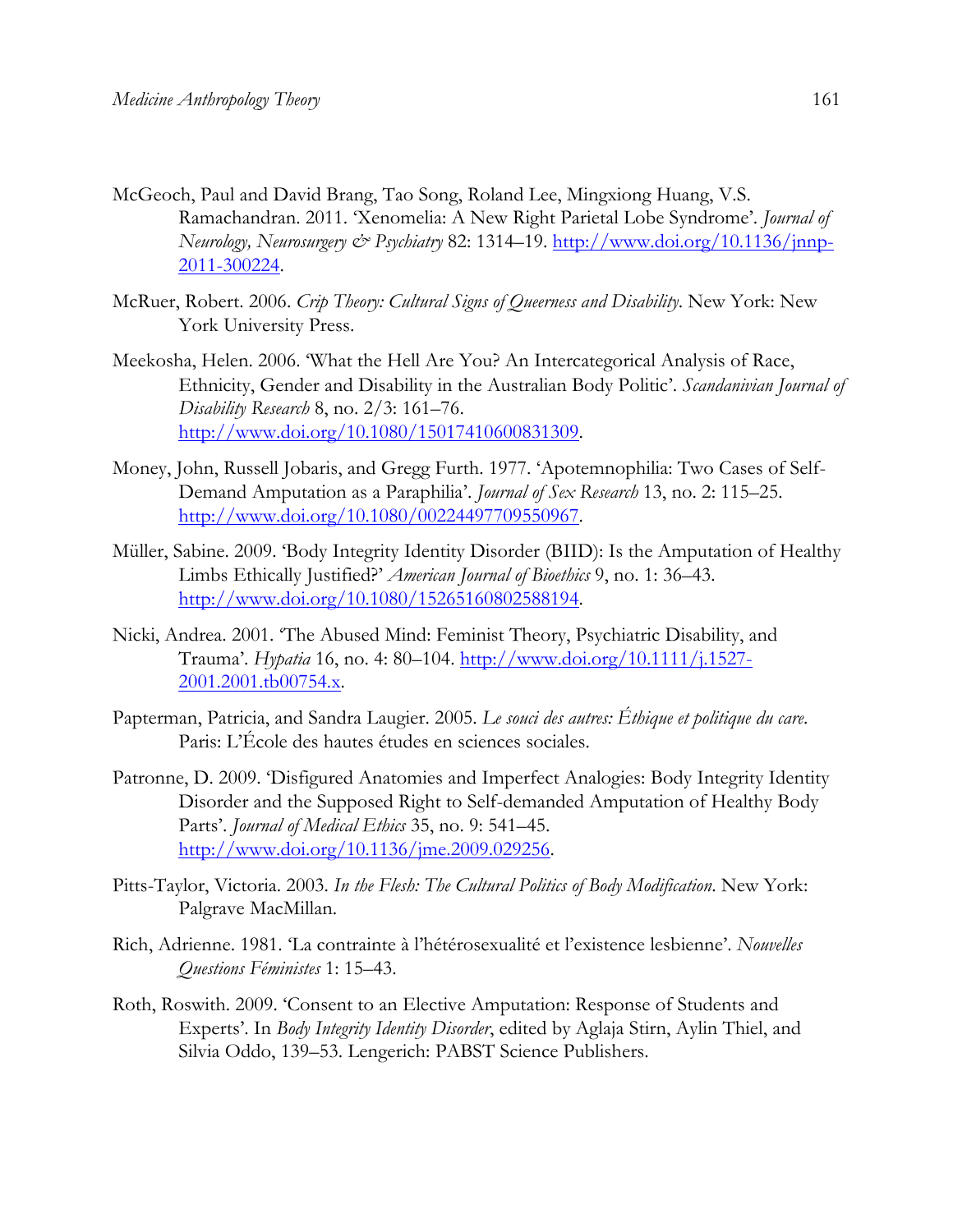- McGeoch, Paul and David Brang, Tao Song, Roland Lee, Mingxiong Huang, V.S. Ramachandran. 2011. 'Xenomelia: A New Right Parietal Lobe Syndrome'. *Journal of Neurology, Neurosurgery & Psychiatry* 82: 1314–19. http://www.doi.org/10.1136/jnnp-2011-300224.
- McRuer, Robert. 2006. *Crip Theory: Cultural Signs of Queerness and Disability*. New York: New York University Press.
- Meekosha, Helen. 2006. 'What the Hell Are You? An Intercategorical Analysis of Race, Ethnicity, Gender and Disability in the Australian Body Politic'. *Scandanivian Journal of Disability Research* 8, no. 2/3: 161–76. http://www.doi.org/10.1080/15017410600831309.
- Money, John, Russell Jobaris, and Gregg Furth. 1977. 'Apotemnophilia: Two Cases of Self-Demand Amputation as a Paraphilia'. *Journal of Sex Research* 13, no. 2: 115–25. http://www.doi.org/10.1080/00224497709550967.
- Müller, Sabine. 2009. 'Body Integrity Identity Disorder (BIID): Is the Amputation of Healthy Limbs Ethically Justified?' *American Journal of Bioethics* 9, no. 1: 36–43. http://www.doi.org/10.1080/15265160802588194.
- Nicki, Andrea. 2001. 'The Abused Mind: Feminist Theory, Psychiatric Disability, and Trauma'. *Hypatia* 16, no. 4: 80–104. http://www.doi.org/10.1111/j.1527- 2001.2001.tb00754.x.
- Papterman, Patricia, and Sandra Laugier. 2005. *Le souci des autres: Éthique et politique du care*. Paris: L'École des hautes études en sciences sociales.
- Patronne, D. 2009. 'Disfigured Anatomies and Imperfect Analogies: Body Integrity Identity Disorder and the Supposed Right to Self-demanded Amputation of Healthy Body Parts'. *Journal of Medical Ethics* 35, no. 9: 541–45. http://www.doi.org/10.1136/jme.2009.029256.
- Pitts-Taylor, Victoria. 2003. *In the Flesh: The Cultural Politics of Body Modification*. New York: Palgrave MacMillan.
- Rich, Adrienne. 1981. 'La contrainte à l'hétérosexualité et l'existence lesbienne'. *Nouvelles Questions Féministes* 1: 15–43.
- Roth, Roswith. 2009. 'Consent to an Elective Amputation: Response of Students and Experts'. In *Body Integrity Identity Disorder*, edited by Aglaja Stirn, Aylin Thiel, and Silvia Oddo, 139–53. Lengerich: PABST Science Publishers.